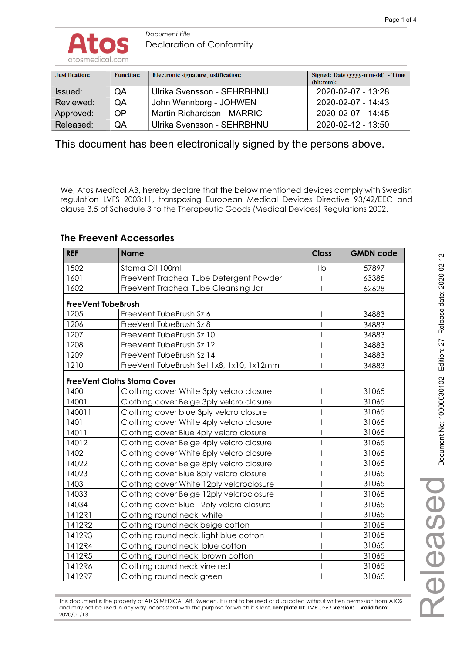

*Document title*  Declaration of Conformity

| Justification: | <b>Function:</b> | Electronic signature justification: | Signed: Date (yyyy-mm-dd) - Time<br>(hh:mm): |
|----------------|------------------|-------------------------------------|----------------------------------------------|
| Issued:        | QA               | Ulrika Svensson - SEHRBHNU          | 2020-02-07 - 13:28                           |
| Reviewed:      | <b>OA</b>        | John Wennborg - JOHWEN              | 2020-02-07 - 14:43                           |
| Approved:      | <b>OP</b>        | Martin Richardson - MARRIC          | 2020-02-07 - 14:45                           |
| Released:      | QA               | Ulrika Svensson - SEHRBHNU          | $2020 - 02 - 12 - 13:50$                     |

This document has been electronically signed by the persons above.

We, Atos Medical AB, hereby declare that the below mentioned devices comply with Swedish regulation LVFS 2003:11, transposing European Medical Devices Directive 93/42/EEC and clause 3.5 of Schedule 3 to the Therapeutic Goods (Medical Devices) Regulations 2002.

### **The Freevent Accessories**

| <b>REF</b>                | <b>Name</b>                              | <b>Class</b> | <b>GMDN code</b> |
|---------------------------|------------------------------------------|--------------|------------------|
| 1502                      | Stoma Oil 100ml                          | IIb          | 57897            |
| 1601                      | FreeVent Tracheal Tube Detergent Powder  |              | 63385            |
| 1602                      | FreeVent Tracheal Tube Cleansing Jar     |              | 62628            |
| <b>FreeVent TubeBrush</b> |                                          |              |                  |
| 1205                      | FreeVent TubeBrush Sz 6                  |              | 34883            |
| 1206                      | FreeVent TubeBrush Sz 8                  |              | 34883            |
| 1207                      | FreeVent TubeBrush Sz 10                 |              | 34883            |
| 1208                      | FreeVent TubeBrush Sz 12                 |              | 34883            |
| 1209                      | FreeVent TubeBrush Sz 14                 |              | 34883            |
| 1210                      | FreeVent TubeBrush Set 1x8, 1x10, 1x12mm |              | 34883            |
|                           | <b>FreeVent Cloths Stoma Cover</b>       |              |                  |
| 1400                      | Clothing cover White 3ply velcro closure |              | 31065            |
| 14001                     | Clothing cover Beige 3ply velcro closure |              | 31065            |
| 140011                    | Clothing cover blue 3ply velcro closure  |              | 31065            |
| 1401                      | Clothing cover White 4ply velcro closure |              | 31065            |
| 14011                     | Clothing cover Blue 4ply velcro closure  |              | 31065            |
| 14012                     | Clothing cover Beige 4ply velcro closure |              | 31065            |
| 1402                      | Clothing cover White 8ply velcro closure |              | 31065            |
| 14022                     | Clothing cover Beige 8ply velcro closure |              | 31065            |
| 14023                     | Clothing cover Blue 8ply velcro closure  |              | 31065            |
| 1403                      | Clothing cover White 12ply velcroclosure |              | 31065            |
| 14033                     | Clothing cover Beige 12ply velcroclosure |              | 31065            |
| 14034                     | Clothing cover Blue 12ply velcro closure |              | 31065            |
| 1412R1                    | Clothing round neck, white               |              | 31065            |
| 1412R2                    | Clothing round neck beige cotton         |              | 31065            |
| 1412R3                    | Clothing round neck, light blue cotton   |              | 31065            |
| 1412R4                    | Clothing round neck, blue cotton         |              | 31065            |
| 1412R5                    | Clothing round neck, brown cotton        |              | 31065            |
| 1412R6                    | Clothing round neck vine red             |              | 31065            |
| 1412R7                    | Clothing round neck green                |              | 31065            |

This document is the property of ATOS MEDICAL AB, Sweden. It is not to be used or duplicated without written permission from ATOS and may not be used in any way inconsistent with the purpose for which it is lent. **Template ID:** TMP-0263 **Version:** 1 **Valid from:** 2020/01/13

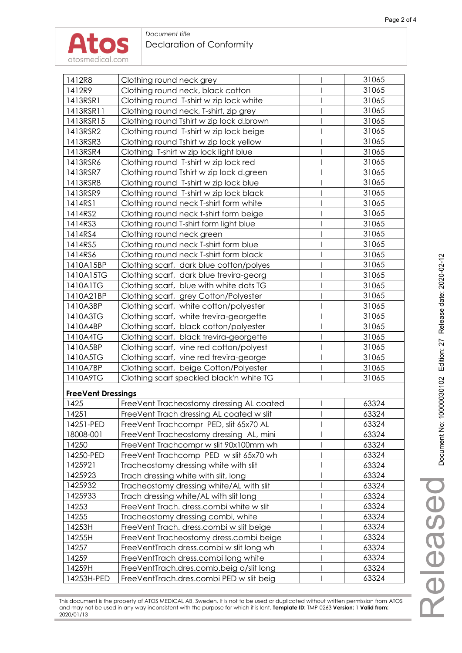

#### *Document title*  Declaration of Conformity

| 1412R9<br>31065<br>Clothing round neck, black cotton<br>31065<br>1413RSR1<br>Clothing round T-shirt w zip lock white<br>31065<br>1413RSR11<br>Clothing round neck, T-shirt, zip grey<br>1413RSR15<br>31065<br>Clothing round Tshirt w zip lock d.brown<br>1413RSR2<br>31065<br>Clothing round T-shirt w zip lock beige<br>Clothing round Tshirt w zip lock yellow<br>31065<br>1413RSR3<br>31065<br>1413RSR4<br>Clothing T-shirt w zip lock light blue<br>1413RSR6<br>Clothing round T-shirt w zip lock red<br>31065<br>1413RSR7<br>Clothing round Tshirt w zip lock d.green<br>31065<br>1413RSR8<br>Clothing round T-shirt w zip lock blue<br>31065<br>31065<br>1413RSR9<br>Clothing round T-shirt w zip lock black<br>31065<br>1414RS1<br>Clothing round neck T-shirt form white<br>31065<br>1414RS2<br>Clothing round neck t-shirt form beige<br>31065<br>1414RS3<br>Clothing round T-shirt form light blue<br>1414RS4<br>31065<br>Clothing round neck green<br>31065<br>1414RS5<br>Clothing round neck T-shirt form blue<br>31065<br>1414RS6<br>Clothing round neck T-shirt form black<br>1410A15BP<br>31065<br>Clothing scarf, dark blue cotton/polyes<br>1410A15TG<br>31065<br>Clothing scarf, dark blue trevira-georg<br>1410A1TG<br>Clothing scarf, blue with white dots TG<br>31065<br>31065<br>1410A21BP<br>Clothing scarf, grey Cotton/Polyester<br>31065<br>1410A3BP<br>Clothing scarf, white cotton/polyester<br>1410A3TG<br>31065<br>Clothing scarf, white trevira-georgette<br>1410A4BP<br>Clothing scarf, black cotton/polyester<br>31065<br>31065<br>1410A4TG<br>Clothing scarf, black trevira-georgette<br>31065<br>1410A5BP<br>Clothing scarf, vine red cotton/polyest<br>1410A5TG<br>31065<br>Clothing scarf, vine red trevira-george<br>31065<br>1410A7BP<br>Clothing scarf, beige Cotton/Polyester<br>1410A9TG<br>31065<br>Clothing scarf speckled black'n white TG<br><b>FreeVent Dressings</b><br>1425<br>FreeVent Tracheostomy dressing AL coated<br>63324<br>63324<br>14251<br>FreeVent Trach dressing AL coated w slit<br>14251-PED<br>FreeVent Trachcompr PED, slit 65x70 AL<br>63324<br>FreeVent Tracheostomy dressing AL, mini<br>63324<br>18008-001<br>63324<br>14250<br>FreeVent Trachcompr w slit 90x100mm wh<br>14250-PED<br>FreeVent Trachcomp PED w slit 65x70 wh<br>63324<br>1425921<br>63324<br>Tracheostomy dressing white with slit<br>1425923<br>Trach dressing white with slit, long<br>63324<br>1425932<br>Tracheostomy dressing white/AL with slit<br>63324<br>1425933<br>63324<br>Trach dressing white/AL with slit long<br>14253<br>63324<br>FreeVent Trach. dress.combi white w slit<br>63324<br>14255<br>Tracheostomy dressing combi, white<br>63324<br>14253H<br>FreeVent Trach. dress.combi w slit beige<br>14255H<br>FreeVent Tracheostomy dress.combi beige<br>63324<br>14257<br>FreeVentTrach dress.combi w slit long wh<br>63324<br>14259<br>63324<br>FreeVentTrach dress.combilong white<br>14259H<br>FreeVentTrach.dres.comb.beig o/slit long<br>63324<br>14253H-PED<br>FreeVentTrach.dres.combi PED w slit beig<br>63324 | 1412R8 |                          | 31065 |
|----------------------------------------------------------------------------------------------------------------------------------------------------------------------------------------------------------------------------------------------------------------------------------------------------------------------------------------------------------------------------------------------------------------------------------------------------------------------------------------------------------------------------------------------------------------------------------------------------------------------------------------------------------------------------------------------------------------------------------------------------------------------------------------------------------------------------------------------------------------------------------------------------------------------------------------------------------------------------------------------------------------------------------------------------------------------------------------------------------------------------------------------------------------------------------------------------------------------------------------------------------------------------------------------------------------------------------------------------------------------------------------------------------------------------------------------------------------------------------------------------------------------------------------------------------------------------------------------------------------------------------------------------------------------------------------------------------------------------------------------------------------------------------------------------------------------------------------------------------------------------------------------------------------------------------------------------------------------------------------------------------------------------------------------------------------------------------------------------------------------------------------------------------------------------------------------------------------------------------------------------------------------------------------------------------------------------------------------------------------------------------------------------------------------------------------------------------------------------------------------------------------------------------------------------------------------------------------------------------------------------------------------------------------------------------------------------------------------------------------------------------------------------------------------------------------------------------------------------------------------------------------------------------------------------------------------------------------------------------------------------------------------------------------------------------------------------------|--------|--------------------------|-------|
|                                                                                                                                                                                                                                                                                                                                                                                                                                                                                                                                                                                                                                                                                                                                                                                                                                                                                                                                                                                                                                                                                                                                                                                                                                                                                                                                                                                                                                                                                                                                                                                                                                                                                                                                                                                                                                                                                                                                                                                                                                                                                                                                                                                                                                                                                                                                                                                                                                                                                                                                                                                                                                                                                                                                                                                                                                                                                                                                                                                                                                                                                  |        | Clothing round neck grey |       |
|                                                                                                                                                                                                                                                                                                                                                                                                                                                                                                                                                                                                                                                                                                                                                                                                                                                                                                                                                                                                                                                                                                                                                                                                                                                                                                                                                                                                                                                                                                                                                                                                                                                                                                                                                                                                                                                                                                                                                                                                                                                                                                                                                                                                                                                                                                                                                                                                                                                                                                                                                                                                                                                                                                                                                                                                                                                                                                                                                                                                                                                                                  |        |                          |       |
|                                                                                                                                                                                                                                                                                                                                                                                                                                                                                                                                                                                                                                                                                                                                                                                                                                                                                                                                                                                                                                                                                                                                                                                                                                                                                                                                                                                                                                                                                                                                                                                                                                                                                                                                                                                                                                                                                                                                                                                                                                                                                                                                                                                                                                                                                                                                                                                                                                                                                                                                                                                                                                                                                                                                                                                                                                                                                                                                                                                                                                                                                  |        |                          |       |
|                                                                                                                                                                                                                                                                                                                                                                                                                                                                                                                                                                                                                                                                                                                                                                                                                                                                                                                                                                                                                                                                                                                                                                                                                                                                                                                                                                                                                                                                                                                                                                                                                                                                                                                                                                                                                                                                                                                                                                                                                                                                                                                                                                                                                                                                                                                                                                                                                                                                                                                                                                                                                                                                                                                                                                                                                                                                                                                                                                                                                                                                                  |        |                          |       |
|                                                                                                                                                                                                                                                                                                                                                                                                                                                                                                                                                                                                                                                                                                                                                                                                                                                                                                                                                                                                                                                                                                                                                                                                                                                                                                                                                                                                                                                                                                                                                                                                                                                                                                                                                                                                                                                                                                                                                                                                                                                                                                                                                                                                                                                                                                                                                                                                                                                                                                                                                                                                                                                                                                                                                                                                                                                                                                                                                                                                                                                                                  |        |                          |       |
|                                                                                                                                                                                                                                                                                                                                                                                                                                                                                                                                                                                                                                                                                                                                                                                                                                                                                                                                                                                                                                                                                                                                                                                                                                                                                                                                                                                                                                                                                                                                                                                                                                                                                                                                                                                                                                                                                                                                                                                                                                                                                                                                                                                                                                                                                                                                                                                                                                                                                                                                                                                                                                                                                                                                                                                                                                                                                                                                                                                                                                                                                  |        |                          |       |
|                                                                                                                                                                                                                                                                                                                                                                                                                                                                                                                                                                                                                                                                                                                                                                                                                                                                                                                                                                                                                                                                                                                                                                                                                                                                                                                                                                                                                                                                                                                                                                                                                                                                                                                                                                                                                                                                                                                                                                                                                                                                                                                                                                                                                                                                                                                                                                                                                                                                                                                                                                                                                                                                                                                                                                                                                                                                                                                                                                                                                                                                                  |        |                          |       |
|                                                                                                                                                                                                                                                                                                                                                                                                                                                                                                                                                                                                                                                                                                                                                                                                                                                                                                                                                                                                                                                                                                                                                                                                                                                                                                                                                                                                                                                                                                                                                                                                                                                                                                                                                                                                                                                                                                                                                                                                                                                                                                                                                                                                                                                                                                                                                                                                                                                                                                                                                                                                                                                                                                                                                                                                                                                                                                                                                                                                                                                                                  |        |                          |       |
|                                                                                                                                                                                                                                                                                                                                                                                                                                                                                                                                                                                                                                                                                                                                                                                                                                                                                                                                                                                                                                                                                                                                                                                                                                                                                                                                                                                                                                                                                                                                                                                                                                                                                                                                                                                                                                                                                                                                                                                                                                                                                                                                                                                                                                                                                                                                                                                                                                                                                                                                                                                                                                                                                                                                                                                                                                                                                                                                                                                                                                                                                  |        |                          |       |
|                                                                                                                                                                                                                                                                                                                                                                                                                                                                                                                                                                                                                                                                                                                                                                                                                                                                                                                                                                                                                                                                                                                                                                                                                                                                                                                                                                                                                                                                                                                                                                                                                                                                                                                                                                                                                                                                                                                                                                                                                                                                                                                                                                                                                                                                                                                                                                                                                                                                                                                                                                                                                                                                                                                                                                                                                                                                                                                                                                                                                                                                                  |        |                          |       |
|                                                                                                                                                                                                                                                                                                                                                                                                                                                                                                                                                                                                                                                                                                                                                                                                                                                                                                                                                                                                                                                                                                                                                                                                                                                                                                                                                                                                                                                                                                                                                                                                                                                                                                                                                                                                                                                                                                                                                                                                                                                                                                                                                                                                                                                                                                                                                                                                                                                                                                                                                                                                                                                                                                                                                                                                                                                                                                                                                                                                                                                                                  |        |                          |       |
|                                                                                                                                                                                                                                                                                                                                                                                                                                                                                                                                                                                                                                                                                                                                                                                                                                                                                                                                                                                                                                                                                                                                                                                                                                                                                                                                                                                                                                                                                                                                                                                                                                                                                                                                                                                                                                                                                                                                                                                                                                                                                                                                                                                                                                                                                                                                                                                                                                                                                                                                                                                                                                                                                                                                                                                                                                                                                                                                                                                                                                                                                  |        |                          |       |
|                                                                                                                                                                                                                                                                                                                                                                                                                                                                                                                                                                                                                                                                                                                                                                                                                                                                                                                                                                                                                                                                                                                                                                                                                                                                                                                                                                                                                                                                                                                                                                                                                                                                                                                                                                                                                                                                                                                                                                                                                                                                                                                                                                                                                                                                                                                                                                                                                                                                                                                                                                                                                                                                                                                                                                                                                                                                                                                                                                                                                                                                                  |        |                          |       |
|                                                                                                                                                                                                                                                                                                                                                                                                                                                                                                                                                                                                                                                                                                                                                                                                                                                                                                                                                                                                                                                                                                                                                                                                                                                                                                                                                                                                                                                                                                                                                                                                                                                                                                                                                                                                                                                                                                                                                                                                                                                                                                                                                                                                                                                                                                                                                                                                                                                                                                                                                                                                                                                                                                                                                                                                                                                                                                                                                                                                                                                                                  |        |                          |       |
|                                                                                                                                                                                                                                                                                                                                                                                                                                                                                                                                                                                                                                                                                                                                                                                                                                                                                                                                                                                                                                                                                                                                                                                                                                                                                                                                                                                                                                                                                                                                                                                                                                                                                                                                                                                                                                                                                                                                                                                                                                                                                                                                                                                                                                                                                                                                                                                                                                                                                                                                                                                                                                                                                                                                                                                                                                                                                                                                                                                                                                                                                  |        |                          |       |
|                                                                                                                                                                                                                                                                                                                                                                                                                                                                                                                                                                                                                                                                                                                                                                                                                                                                                                                                                                                                                                                                                                                                                                                                                                                                                                                                                                                                                                                                                                                                                                                                                                                                                                                                                                                                                                                                                                                                                                                                                                                                                                                                                                                                                                                                                                                                                                                                                                                                                                                                                                                                                                                                                                                                                                                                                                                                                                                                                                                                                                                                                  |        |                          |       |
|                                                                                                                                                                                                                                                                                                                                                                                                                                                                                                                                                                                                                                                                                                                                                                                                                                                                                                                                                                                                                                                                                                                                                                                                                                                                                                                                                                                                                                                                                                                                                                                                                                                                                                                                                                                                                                                                                                                                                                                                                                                                                                                                                                                                                                                                                                                                                                                                                                                                                                                                                                                                                                                                                                                                                                                                                                                                                                                                                                                                                                                                                  |        |                          |       |
|                                                                                                                                                                                                                                                                                                                                                                                                                                                                                                                                                                                                                                                                                                                                                                                                                                                                                                                                                                                                                                                                                                                                                                                                                                                                                                                                                                                                                                                                                                                                                                                                                                                                                                                                                                                                                                                                                                                                                                                                                                                                                                                                                                                                                                                                                                                                                                                                                                                                                                                                                                                                                                                                                                                                                                                                                                                                                                                                                                                                                                                                                  |        |                          |       |
|                                                                                                                                                                                                                                                                                                                                                                                                                                                                                                                                                                                                                                                                                                                                                                                                                                                                                                                                                                                                                                                                                                                                                                                                                                                                                                                                                                                                                                                                                                                                                                                                                                                                                                                                                                                                                                                                                                                                                                                                                                                                                                                                                                                                                                                                                                                                                                                                                                                                                                                                                                                                                                                                                                                                                                                                                                                                                                                                                                                                                                                                                  |        |                          |       |
|                                                                                                                                                                                                                                                                                                                                                                                                                                                                                                                                                                                                                                                                                                                                                                                                                                                                                                                                                                                                                                                                                                                                                                                                                                                                                                                                                                                                                                                                                                                                                                                                                                                                                                                                                                                                                                                                                                                                                                                                                                                                                                                                                                                                                                                                                                                                                                                                                                                                                                                                                                                                                                                                                                                                                                                                                                                                                                                                                                                                                                                                                  |        |                          |       |
|                                                                                                                                                                                                                                                                                                                                                                                                                                                                                                                                                                                                                                                                                                                                                                                                                                                                                                                                                                                                                                                                                                                                                                                                                                                                                                                                                                                                                                                                                                                                                                                                                                                                                                                                                                                                                                                                                                                                                                                                                                                                                                                                                                                                                                                                                                                                                                                                                                                                                                                                                                                                                                                                                                                                                                                                                                                                                                                                                                                                                                                                                  |        |                          |       |
|                                                                                                                                                                                                                                                                                                                                                                                                                                                                                                                                                                                                                                                                                                                                                                                                                                                                                                                                                                                                                                                                                                                                                                                                                                                                                                                                                                                                                                                                                                                                                                                                                                                                                                                                                                                                                                                                                                                                                                                                                                                                                                                                                                                                                                                                                                                                                                                                                                                                                                                                                                                                                                                                                                                                                                                                                                                                                                                                                                                                                                                                                  |        |                          |       |
|                                                                                                                                                                                                                                                                                                                                                                                                                                                                                                                                                                                                                                                                                                                                                                                                                                                                                                                                                                                                                                                                                                                                                                                                                                                                                                                                                                                                                                                                                                                                                                                                                                                                                                                                                                                                                                                                                                                                                                                                                                                                                                                                                                                                                                                                                                                                                                                                                                                                                                                                                                                                                                                                                                                                                                                                                                                                                                                                                                                                                                                                                  |        |                          |       |
|                                                                                                                                                                                                                                                                                                                                                                                                                                                                                                                                                                                                                                                                                                                                                                                                                                                                                                                                                                                                                                                                                                                                                                                                                                                                                                                                                                                                                                                                                                                                                                                                                                                                                                                                                                                                                                                                                                                                                                                                                                                                                                                                                                                                                                                                                                                                                                                                                                                                                                                                                                                                                                                                                                                                                                                                                                                                                                                                                                                                                                                                                  |        |                          |       |
|                                                                                                                                                                                                                                                                                                                                                                                                                                                                                                                                                                                                                                                                                                                                                                                                                                                                                                                                                                                                                                                                                                                                                                                                                                                                                                                                                                                                                                                                                                                                                                                                                                                                                                                                                                                                                                                                                                                                                                                                                                                                                                                                                                                                                                                                                                                                                                                                                                                                                                                                                                                                                                                                                                                                                                                                                                                                                                                                                                                                                                                                                  |        |                          |       |
|                                                                                                                                                                                                                                                                                                                                                                                                                                                                                                                                                                                                                                                                                                                                                                                                                                                                                                                                                                                                                                                                                                                                                                                                                                                                                                                                                                                                                                                                                                                                                                                                                                                                                                                                                                                                                                                                                                                                                                                                                                                                                                                                                                                                                                                                                                                                                                                                                                                                                                                                                                                                                                                                                                                                                                                                                                                                                                                                                                                                                                                                                  |        |                          |       |
|                                                                                                                                                                                                                                                                                                                                                                                                                                                                                                                                                                                                                                                                                                                                                                                                                                                                                                                                                                                                                                                                                                                                                                                                                                                                                                                                                                                                                                                                                                                                                                                                                                                                                                                                                                                                                                                                                                                                                                                                                                                                                                                                                                                                                                                                                                                                                                                                                                                                                                                                                                                                                                                                                                                                                                                                                                                                                                                                                                                                                                                                                  |        |                          |       |
|                                                                                                                                                                                                                                                                                                                                                                                                                                                                                                                                                                                                                                                                                                                                                                                                                                                                                                                                                                                                                                                                                                                                                                                                                                                                                                                                                                                                                                                                                                                                                                                                                                                                                                                                                                                                                                                                                                                                                                                                                                                                                                                                                                                                                                                                                                                                                                                                                                                                                                                                                                                                                                                                                                                                                                                                                                                                                                                                                                                                                                                                                  |        |                          |       |
|                                                                                                                                                                                                                                                                                                                                                                                                                                                                                                                                                                                                                                                                                                                                                                                                                                                                                                                                                                                                                                                                                                                                                                                                                                                                                                                                                                                                                                                                                                                                                                                                                                                                                                                                                                                                                                                                                                                                                                                                                                                                                                                                                                                                                                                                                                                                                                                                                                                                                                                                                                                                                                                                                                                                                                                                                                                                                                                                                                                                                                                                                  |        |                          |       |
|                                                                                                                                                                                                                                                                                                                                                                                                                                                                                                                                                                                                                                                                                                                                                                                                                                                                                                                                                                                                                                                                                                                                                                                                                                                                                                                                                                                                                                                                                                                                                                                                                                                                                                                                                                                                                                                                                                                                                                                                                                                                                                                                                                                                                                                                                                                                                                                                                                                                                                                                                                                                                                                                                                                                                                                                                                                                                                                                                                                                                                                                                  |        |                          |       |
|                                                                                                                                                                                                                                                                                                                                                                                                                                                                                                                                                                                                                                                                                                                                                                                                                                                                                                                                                                                                                                                                                                                                                                                                                                                                                                                                                                                                                                                                                                                                                                                                                                                                                                                                                                                                                                                                                                                                                                                                                                                                                                                                                                                                                                                                                                                                                                                                                                                                                                                                                                                                                                                                                                                                                                                                                                                                                                                                                                                                                                                                                  |        |                          |       |
|                                                                                                                                                                                                                                                                                                                                                                                                                                                                                                                                                                                                                                                                                                                                                                                                                                                                                                                                                                                                                                                                                                                                                                                                                                                                                                                                                                                                                                                                                                                                                                                                                                                                                                                                                                                                                                                                                                                                                                                                                                                                                                                                                                                                                                                                                                                                                                                                                                                                                                                                                                                                                                                                                                                                                                                                                                                                                                                                                                                                                                                                                  |        |                          |       |
|                                                                                                                                                                                                                                                                                                                                                                                                                                                                                                                                                                                                                                                                                                                                                                                                                                                                                                                                                                                                                                                                                                                                                                                                                                                                                                                                                                                                                                                                                                                                                                                                                                                                                                                                                                                                                                                                                                                                                                                                                                                                                                                                                                                                                                                                                                                                                                                                                                                                                                                                                                                                                                                                                                                                                                                                                                                                                                                                                                                                                                                                                  |        |                          |       |
|                                                                                                                                                                                                                                                                                                                                                                                                                                                                                                                                                                                                                                                                                                                                                                                                                                                                                                                                                                                                                                                                                                                                                                                                                                                                                                                                                                                                                                                                                                                                                                                                                                                                                                                                                                                                                                                                                                                                                                                                                                                                                                                                                                                                                                                                                                                                                                                                                                                                                                                                                                                                                                                                                                                                                                                                                                                                                                                                                                                                                                                                                  |        |                          |       |
|                                                                                                                                                                                                                                                                                                                                                                                                                                                                                                                                                                                                                                                                                                                                                                                                                                                                                                                                                                                                                                                                                                                                                                                                                                                                                                                                                                                                                                                                                                                                                                                                                                                                                                                                                                                                                                                                                                                                                                                                                                                                                                                                                                                                                                                                                                                                                                                                                                                                                                                                                                                                                                                                                                                                                                                                                                                                                                                                                                                                                                                                                  |        |                          |       |
|                                                                                                                                                                                                                                                                                                                                                                                                                                                                                                                                                                                                                                                                                                                                                                                                                                                                                                                                                                                                                                                                                                                                                                                                                                                                                                                                                                                                                                                                                                                                                                                                                                                                                                                                                                                                                                                                                                                                                                                                                                                                                                                                                                                                                                                                                                                                                                                                                                                                                                                                                                                                                                                                                                                                                                                                                                                                                                                                                                                                                                                                                  |        |                          |       |
|                                                                                                                                                                                                                                                                                                                                                                                                                                                                                                                                                                                                                                                                                                                                                                                                                                                                                                                                                                                                                                                                                                                                                                                                                                                                                                                                                                                                                                                                                                                                                                                                                                                                                                                                                                                                                                                                                                                                                                                                                                                                                                                                                                                                                                                                                                                                                                                                                                                                                                                                                                                                                                                                                                                                                                                                                                                                                                                                                                                                                                                                                  |        |                          |       |
|                                                                                                                                                                                                                                                                                                                                                                                                                                                                                                                                                                                                                                                                                                                                                                                                                                                                                                                                                                                                                                                                                                                                                                                                                                                                                                                                                                                                                                                                                                                                                                                                                                                                                                                                                                                                                                                                                                                                                                                                                                                                                                                                                                                                                                                                                                                                                                                                                                                                                                                                                                                                                                                                                                                                                                                                                                                                                                                                                                                                                                                                                  |        |                          |       |
|                                                                                                                                                                                                                                                                                                                                                                                                                                                                                                                                                                                                                                                                                                                                                                                                                                                                                                                                                                                                                                                                                                                                                                                                                                                                                                                                                                                                                                                                                                                                                                                                                                                                                                                                                                                                                                                                                                                                                                                                                                                                                                                                                                                                                                                                                                                                                                                                                                                                                                                                                                                                                                                                                                                                                                                                                                                                                                                                                                                                                                                                                  |        |                          |       |
|                                                                                                                                                                                                                                                                                                                                                                                                                                                                                                                                                                                                                                                                                                                                                                                                                                                                                                                                                                                                                                                                                                                                                                                                                                                                                                                                                                                                                                                                                                                                                                                                                                                                                                                                                                                                                                                                                                                                                                                                                                                                                                                                                                                                                                                                                                                                                                                                                                                                                                                                                                                                                                                                                                                                                                                                                                                                                                                                                                                                                                                                                  |        |                          |       |
|                                                                                                                                                                                                                                                                                                                                                                                                                                                                                                                                                                                                                                                                                                                                                                                                                                                                                                                                                                                                                                                                                                                                                                                                                                                                                                                                                                                                                                                                                                                                                                                                                                                                                                                                                                                                                                                                                                                                                                                                                                                                                                                                                                                                                                                                                                                                                                                                                                                                                                                                                                                                                                                                                                                                                                                                                                                                                                                                                                                                                                                                                  |        |                          |       |
|                                                                                                                                                                                                                                                                                                                                                                                                                                                                                                                                                                                                                                                                                                                                                                                                                                                                                                                                                                                                                                                                                                                                                                                                                                                                                                                                                                                                                                                                                                                                                                                                                                                                                                                                                                                                                                                                                                                                                                                                                                                                                                                                                                                                                                                                                                                                                                                                                                                                                                                                                                                                                                                                                                                                                                                                                                                                                                                                                                                                                                                                                  |        |                          |       |
|                                                                                                                                                                                                                                                                                                                                                                                                                                                                                                                                                                                                                                                                                                                                                                                                                                                                                                                                                                                                                                                                                                                                                                                                                                                                                                                                                                                                                                                                                                                                                                                                                                                                                                                                                                                                                                                                                                                                                                                                                                                                                                                                                                                                                                                                                                                                                                                                                                                                                                                                                                                                                                                                                                                                                                                                                                                                                                                                                                                                                                                                                  |        |                          |       |
|                                                                                                                                                                                                                                                                                                                                                                                                                                                                                                                                                                                                                                                                                                                                                                                                                                                                                                                                                                                                                                                                                                                                                                                                                                                                                                                                                                                                                                                                                                                                                                                                                                                                                                                                                                                                                                                                                                                                                                                                                                                                                                                                                                                                                                                                                                                                                                                                                                                                                                                                                                                                                                                                                                                                                                                                                                                                                                                                                                                                                                                                                  |        |                          |       |
|                                                                                                                                                                                                                                                                                                                                                                                                                                                                                                                                                                                                                                                                                                                                                                                                                                                                                                                                                                                                                                                                                                                                                                                                                                                                                                                                                                                                                                                                                                                                                                                                                                                                                                                                                                                                                                                                                                                                                                                                                                                                                                                                                                                                                                                                                                                                                                                                                                                                                                                                                                                                                                                                                                                                                                                                                                                                                                                                                                                                                                                                                  |        |                          |       |
|                                                                                                                                                                                                                                                                                                                                                                                                                                                                                                                                                                                                                                                                                                                                                                                                                                                                                                                                                                                                                                                                                                                                                                                                                                                                                                                                                                                                                                                                                                                                                                                                                                                                                                                                                                                                                                                                                                                                                                                                                                                                                                                                                                                                                                                                                                                                                                                                                                                                                                                                                                                                                                                                                                                                                                                                                                                                                                                                                                                                                                                                                  |        |                          |       |
|                                                                                                                                                                                                                                                                                                                                                                                                                                                                                                                                                                                                                                                                                                                                                                                                                                                                                                                                                                                                                                                                                                                                                                                                                                                                                                                                                                                                                                                                                                                                                                                                                                                                                                                                                                                                                                                                                                                                                                                                                                                                                                                                                                                                                                                                                                                                                                                                                                                                                                                                                                                                                                                                                                                                                                                                                                                                                                                                                                                                                                                                                  |        |                          |       |
|                                                                                                                                                                                                                                                                                                                                                                                                                                                                                                                                                                                                                                                                                                                                                                                                                                                                                                                                                                                                                                                                                                                                                                                                                                                                                                                                                                                                                                                                                                                                                                                                                                                                                                                                                                                                                                                                                                                                                                                                                                                                                                                                                                                                                                                                                                                                                                                                                                                                                                                                                                                                                                                                                                                                                                                                                                                                                                                                                                                                                                                                                  |        |                          |       |
|                                                                                                                                                                                                                                                                                                                                                                                                                                                                                                                                                                                                                                                                                                                                                                                                                                                                                                                                                                                                                                                                                                                                                                                                                                                                                                                                                                                                                                                                                                                                                                                                                                                                                                                                                                                                                                                                                                                                                                                                                                                                                                                                                                                                                                                                                                                                                                                                                                                                                                                                                                                                                                                                                                                                                                                                                                                                                                                                                                                                                                                                                  |        |                          |       |

This document is the property of ATOS MEDICAL AB, Sweden. It is not to be used or duplicated without written permission from ATOS and may not be used in any way inconsistent with the purpose for which it is lent. **Template ID:** TMP-0263 **Version:** 1 **Valid from:** 2020/01/13

Released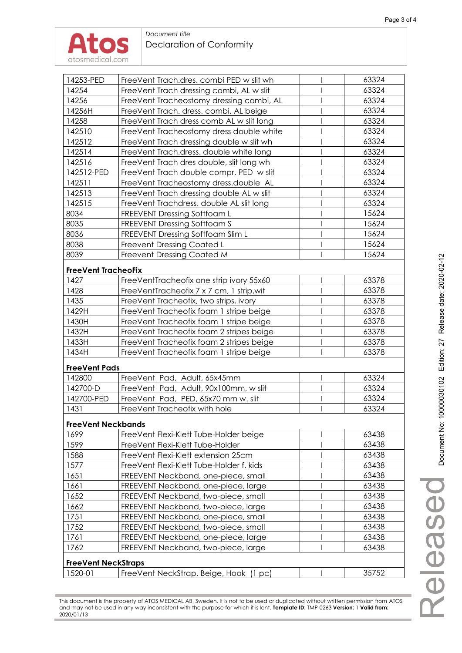| 14253-PED                  | FreeVent Trach.dres. combi PED w slit wh  |   | 63324 |
|----------------------------|-------------------------------------------|---|-------|
| 14254                      | FreeVent Trach dressing combi, AL w slit  |   | 63324 |
| 14256                      | FreeVent Tracheostomy dressing combi, AL  |   | 63324 |
| 14256H                     | FreeVent Trach. dress. combi, AL beige    |   | 63324 |
| 14258                      | FreeVent Trach dress comb AL w slit long  |   | 63324 |
| 142510                     | FreeVent Tracheostomy dress double white  |   | 63324 |
| 142512                     | FreeVent Trach dressing double w slit wh  |   | 63324 |
| 142514                     | FreeVent Trach.dress. double white long   |   | 63324 |
| 142516                     | FreeVent Trach dres double, slit long wh  |   | 63324 |
| 142512-PED                 | FreeVent Trach double compr. PED w slit   |   | 63324 |
| 142511                     | FreeVent Tracheostomy dress.double AL     |   | 63324 |
| 142513                     | FreeVent Trach dressing double AL w slit  |   | 63324 |
| 142515                     | FreeVent Trachdress. double AL slit long  |   | 63324 |
| 8034                       | <b>FREEVENT Dressing Softfoam L</b>       |   | 15624 |
| 8035                       | FREEVENT Dressing Softfoam S              |   | 15624 |
| 8036                       | FREEVENT Dressing Softfoam Slim L         |   | 15624 |
| 8038                       | Freevent Dressing Coated L                |   | 15624 |
| 8039                       | <b>Freevent Dressing Coated M</b>         |   | 15624 |
|                            |                                           |   |       |
| <b>FreeVent TracheoFix</b> |                                           |   |       |
| 1427                       | FreeVentTracheofix one strip ivory 55x60  |   | 63378 |
| 1428                       | FreeVentTracheofix 7 x 7 cm, 1 strip, wit |   | 63378 |
| 1435                       | FreeVent Tracheofix, two strips, ivory    |   | 63378 |
| 1429H                      | FreeVent Tracheofix foam 1 stripe beige   |   | 63378 |
| 1430H                      | FreeVent Tracheofix foam 1 stripe beige   |   | 63378 |
| 1432H                      | FreeVent Tracheofix foam 2 stripes beige  |   | 63378 |
| 1433H                      | FreeVent Tracheofix foam 2 stripes beige  | I | 63378 |
| 1434H                      | FreeVent Tracheofix foam 1 stripe beige   |   | 63378 |
| <b>FreeVent Pads</b>       |                                           |   |       |
| 142800                     | FreeVent Pad, Adult, 65x45mm              |   | 63324 |
| 142700-D                   | FreeVent Pad, Adult, 90x100mm, w slit     |   | 63324 |
| 142700-PED                 | FreeVent Pad, PED, 65x70 mm w. slit       |   | 63324 |
| 1431                       | FreeVent Tracheofix with hole             |   | 63324 |
|                            |                                           |   |       |
| <b>FreeVent Neckbands</b>  |                                           |   |       |
| 1699                       | FreeVent Flexi-Klett Tube-Holder beige    |   | 63438 |
| 1599                       | FreeVent Flexi-Klett Tube-Holder          |   | 63438 |
| 1588                       | FreeVent Flexi-Klett extension 25cm       |   | 63438 |
| 1577                       | FreeVent Flexi-Klett Tube-Holder f. kids  |   | 63438 |
| 1651                       | FREEVENT Neckband, one-piece, small       |   | 63438 |
| 1661                       | FREEVENT Neckband, one-piece, large       |   | 63438 |
| 1652                       | FREEVENT Neckband, two-piece, small       |   | 63438 |
| 1662                       | FREEVENT Neckband, two-piece, large       |   | 63438 |
| 1751                       | FREEVENT Neckband, one-piece, small       |   | 63438 |
| 1752                       | FREEVENT Neckband, two-piece, small       |   | 63438 |
| 1761                       | FREEVENT Neckband, one-piece, large       |   | 63438 |
| 1762                       | FREEVENT Neckband, two-piece, large       |   | 63438 |
| <b>FreeVent NeckStraps</b> |                                           |   |       |
| 1520-01                    | FreeVent NeckStrap. Beige, Hook (1 pc)    |   | 35752 |

This document is the property of ATOS MEDICAL AB, Sweden. It is not to be used or duplicated without written permission from ATOS and may not be used in any way inconsistent with the purpose for which it is lent. **Template ID:** TMP-0263 **Version:** 1 **Valid from:** 2020/01/13

Released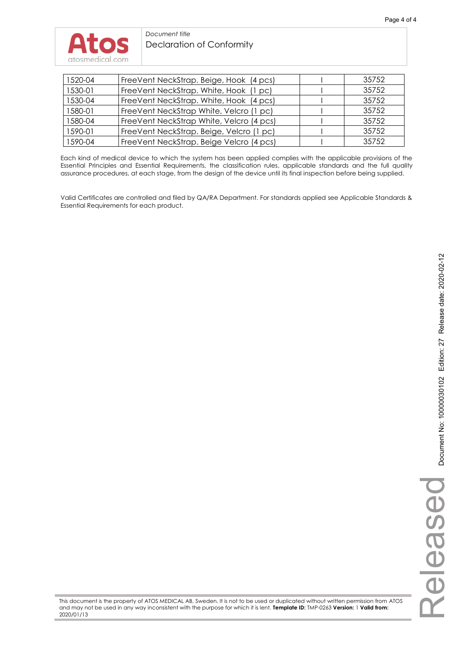#### *Document title*  Declaration of Conformity

| 1520-04 | FreeVent NeckStrap. Beige, Hook (4 pcs)  | 35752 |
|---------|------------------------------------------|-------|
| 1530-01 | FreeVent NeckStrap. White, Hook (1 pc)   | 35752 |
| 1530-04 | FreeVent NeckStrap. White, Hook (4 pcs)  | 35752 |
| 1580-01 | FreeVent NeckStrap White, Velcro (1 pc)  | 35752 |
| 1580-04 | FreeVent NeckStrap White, Velcro (4 pcs) | 35752 |
| 1590-01 | FreeVent NeckStrap. Beige, Velcro (1 pc) | 35752 |
| 1590-04 | FreeVent NeckStrap. Beige Velcro (4 pcs) | 35752 |

Each kind of medical device to which the system has been applied complies with the applicable provisions of the Essential Principles and Essential Requirements, the classification rules, applicable standards and the full quality assurance procedures, at each stage, from the design of the device until its final inspection before being supplied.

Valid Certificates are controlled and filed by QA/RA Department. For standards applied see Applicable Standards & Essential Requirements for each product.

This document is the property of ATOS MEDICAL AB, Sweden. It is not to be used or duplicated without written permission from ATOS and may not be used in any way inconsistent with the purpose for which it is lent. **Template ID:** TMP-0263 **Version:** 1 **Valid from:** 2020/01/13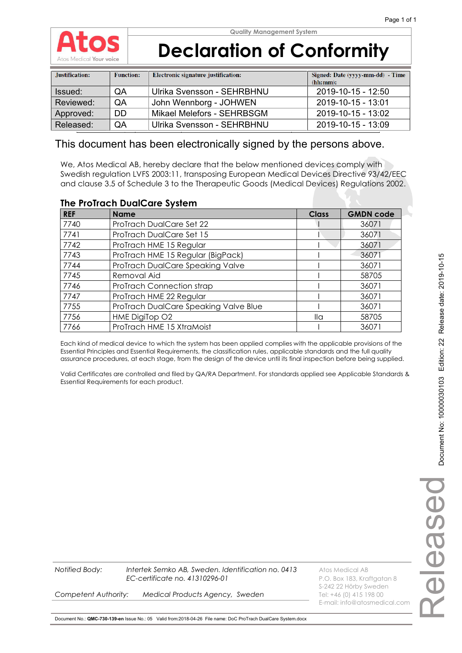

| Justification: | <b>Function:</b> | Electronic signature justification: | Signed: Date (yyyy-mm-dd) - Time<br>(hh:mm): |
|----------------|------------------|-------------------------------------|----------------------------------------------|
| Issued:        | QA               | Ulrika Svensson - SEHRBHNU          | 2019-10-15 - 12:50                           |
| Reviewed:      | <b>OA</b>        | John Wennborg - JOHWEN              | 2019-10-15 - 13:01                           |
| Approved:      | DD.              | Mikael Melefors - SEHRBSGM          | 2019-10-15 - 13:02                           |
| Released:      | QA               | Ulrika Svensson - SEHRBHNU          | 2019-10-15 - 13:09                           |

### This document has been electronically signed by the persons above.

We, Atos Medical AB, hereby declare that the below mentioned devices comply with Swedish regulation LVFS 2003:11, transposing European Medical Devices Directive 93/42/EEC and clause 3.5 of Schedule 3 to the Therapeutic Goods (Medical Devices) Regulations 2002.

#### **The ProTrach DualCare System**

| <b>REF</b> | <b>Name</b>                           | <b>Class</b>         | <b>GMDN code</b> |
|------------|---------------------------------------|----------------------|------------------|
| 7740       | ProTrach DualCare Set 22              |                      | 36071            |
| 7741       | ProTrach DualCare Set 15              |                      | 36071            |
| 7742       | ProTrach HME 15 Regular               |                      | 36071            |
| 7743       | ProTrach HME 15 Regular (BigPack)     |                      | 36071            |
| 7744       | ProTrach DualCare Speaking Valve      |                      | 36071            |
| 7745       | Removal Aid                           |                      | 58705            |
| 7746       | ProTrach Connection strap             |                      | 36071            |
| 7747       | ProTrach HME 22 Regular               |                      | 36071            |
| 7755       | ProTrach DualCare Speaking Valve Blue |                      | 36071            |
| 7756       | HME DigiTop O2                        | $\mathsf{II} \alpha$ | 58705            |
| 7766       | ProTrach HME 15 XtraMoist             |                      | 36071            |

Each kind of medical device to which the system has been applied complies with the applicable provisions of the Essential Principles and Essential Requirements, the classification rules, applicable standards and the full quality assurance procedures, at each stage, from the design of the device until its final inspection before being supplied.

Valid Certificates are controlled and filed by QA/RA Department. For standards applied see Applicable Standards & Essential Requirements for each product.

> ReleasedDespel

S-242 22 Hörby Sweden

E-mail: info@atosmedical.com

**Competent Authority: Medical Products Agency, Sweden** Tel: +46 (0) 415 198 00

Document No.: **QMC-730-139-en** Issue No.: 05 Valid from:2018-04-26 File name: DoC ProTrach DualCare System.docx

**Notified Body: Intertek Semko AB, Sweden. Identification no. 0413** Atos Medical AB

*EC-certificate no. 41310296-01* P.O. Box 183, Kraftgatan 8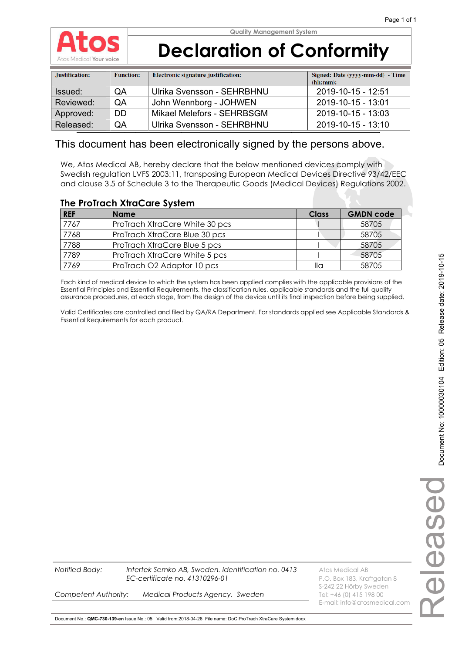

# **Declaration of Conformity**

| Justification: | <b>Function:</b> | Electronic signature justification: | Signed: Date (yyyy-mm-dd) - Time<br>(hh:mm): |
|----------------|------------------|-------------------------------------|----------------------------------------------|
| Issued:        | QA               | Ulrika Svensson - SEHRBHNU          | 2019-10-15 - 12:51                           |
| Reviewed:      | <b>OA</b>        | John Wennborg - JOHWEN              | 2019-10-15 - 13:01                           |
| Approved:      | DD.              | Mikael Melefors - SEHRBSGM          | 2019-10-15 - 13:03                           |
| Released:      | QA               | Ulrika Svensson - SEHRBHNU          | $2019 - 10 - 15 - 13:10$                     |

### This document has been electronically signed by the persons above.

We, Atos Medical AB, hereby declare that the below mentioned devices comply with Swedish regulation LVFS 2003:11, transposing European Medical Devices Directive 93/42/EEC and clause 3.5 of Schedule 3 to the Therapeutic Goods (Medical Devices) Regulations 2002.

### **The ProTrach XtraCare System**

| <b>REF</b> | <b>Name</b>                    | Class | <b>GMDN code</b> |
|------------|--------------------------------|-------|------------------|
| 7767       | ProTrach XtraCare White 30 pcs |       | 58705            |
| 7768       | ProTrach XtraCare Blue 30 pcs  |       | 58705            |
| 7788       | ProTrach XtraCare Blue 5 pcs   |       | 58705            |
| 7789       | ProTrach XtraCare White 5 pcs  |       | 58705            |
| 7769       | ProTrach O2 Adaptor 10 pcs     | lla   | 58705            |

Each kind of medical device to which the system has been applied complies with the applicable provisions of the Essential Principles and Essential Requirements, the classification rules, applicable standards and the full quality assurance procedures, at each stage, from the design of the device until its final inspection before being supplied.

Valid Certificates are controlled and filed by QA/RA Department. For standards applied see Applicable Standards & Essential Requirements for each product.

**Notified Body: Intertek Semko AB, Sweden. Identification no. 0413** Atos Medical AB *EC-certificate no. 41310296-01* P.O. Box 183, Kraftgatan 8

S-242 22 Hörby Sweden **Competent Authority: Medical Products Agency, Sweden** Tel: +46 (0) 415 198 00 E-mail: info@atosmedical.com

Document No.: **QMC-730-139-en** Issue No.: 05 Valid from:2018-04-26 File name: DoC ProTrach XtraCare System.docx

Released

Deseal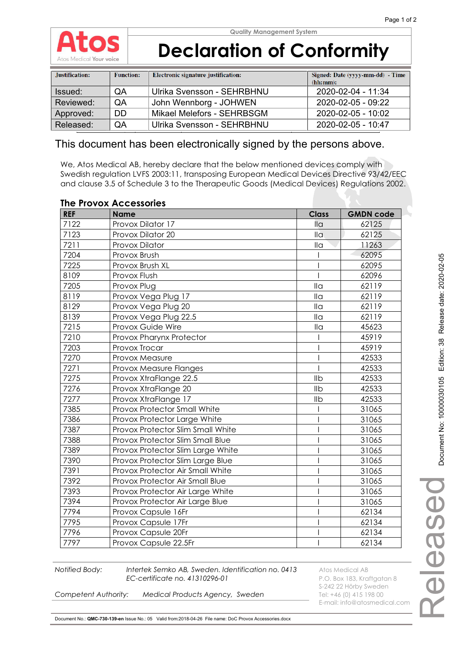

| Justification: | <b>Function:</b> | Electronic signature justification: | Signed: Date (yyyy-mm-dd) - Time<br>(hh:mm): |
|----------------|------------------|-------------------------------------|----------------------------------------------|
| Issued:        | QA               | Ulrika Svensson - SEHRBHNU          | 2020-02-04 - 11:34                           |
| Reviewed:      | <b>OA</b>        | John Wennborg - JOHWEN              | 2020-02-05 - 09:22                           |
| Approved:      | DD.              | Mikael Melefors - SEHRBSGM          | 2020-02-05 - 10:02                           |
| Released:      | QA               | Ulrika Svensson - SEHRBHNU          | 2020-02-05 - 10:47                           |

### This document has been electronically signed by the persons above.

We, Atos Medical AB, hereby declare that the below mentioned devices comply with Swedish regulation LVFS 2003:11, transposing European Medical Devices Directive 93/42/EEC and clause 3.5 of Schedule 3 to the Therapeutic Goods (Medical Devices) Regulations 2002.

| <b>REF</b> | <b>Name</b>                       | <b>Class</b>               | <b>GMDN code</b> |
|------------|-----------------------------------|----------------------------|------------------|
| 7122       | Provox Dilator 17                 | $\overline{\mathsf{II}}$ a | 62125            |
| 7123       | Provox Dilator 20                 | $\overline{\mathsf{II}}$ a | 62125            |
| 7211       | Provox Dilator                    | II <sub>G</sub>            | 11263            |
| 7204       | Provox Brush                      |                            | 62095            |
| 7225       | Provox Brush XL                   |                            | 62095            |
| 8109       | Provox Flush                      |                            | 62096            |
| 7205       | Provox Plug                       | $\overline{\mathsf{II}}$ a | 62119            |
| 8119       | Provox Vega Plug 17               | $\overline{\mathsf{II}}$ a | 62119            |
| 8129       | Provox Vega Plug 20               | $\mathsf{II} \alpha$       | 62119            |
| 8139       | Provox Vega Plug 22.5             | $\overline{\mathsf{II}}$ a | 62119            |
| 7215       | Provox Guide Wire                 | $\mathsf{II} \alpha$       | 45623            |
| 7210       | Provox Pharynx Protector          |                            | 45919            |
| 7203       | Provox Trocar                     |                            | 45919            |
| 7270       | Provox Measure                    |                            | 42533            |
| 7271       | Provox Measure Flanges            |                            | 42533            |
| 7275       | Provox XtraFlange 22.5            | Ilb                        | 42533            |
| 7276       | Provox XtraFlange 20              | Ilb                        | 42533            |
| 7277       | Provox XtraFlange 17              | Ilb                        | 42533            |
| 7385       | Provox Protector Small White      |                            | 31065            |
| 7386       | Provox Protector Large White      |                            | 31065            |
| 7387       | Provox Protector Slim Small White |                            | 31065            |
| 7388       | Provox Protector Slim Small Blue  |                            | 31065            |
| 7389       | Provox Protector Slim Large White |                            | 31065            |
| 7390       | Provox Protector Slim Large Blue  |                            | 31065            |
| 7391       | Provox Protector Air Small White  |                            | 31065            |
| 7392       | Provox Protector Air Small Blue   |                            | 31065            |
| 7393       | Provox Protector Air Large White  |                            | 31065            |
| 7394       | Provox Protector Air Large Blue   |                            | 31065            |
| 7794       | Provox Capsule 16Fr               |                            | 62134            |
| 7795       | Provox Capsule 17Fr               |                            | 62134            |
| 7796       | Provox Capsule 20Fr               |                            | 62134            |
| 7797       | Provox Capsule 22.5Fr             |                            | 62134            |

#### **The Provox Accessories**

**Notified Body:** Intertek Semko AB, Sweden. Identification no. 0413 Atos Medical AB *EC-certificate no. 41310296-01* P.O. Box 183, Kraftgatan 8

S-242 22 Hörby Sweden *Competent Authority: Medical Products Agency, Sweden* Tel: +46 (0) 415 198 00 E-mail: info@atosmedical.com

Document No.: **QMC-730-139-en** Issue No.: 05 Valid from:2018-04-26 File name: DoC Provox Accessories.docx

Released

leased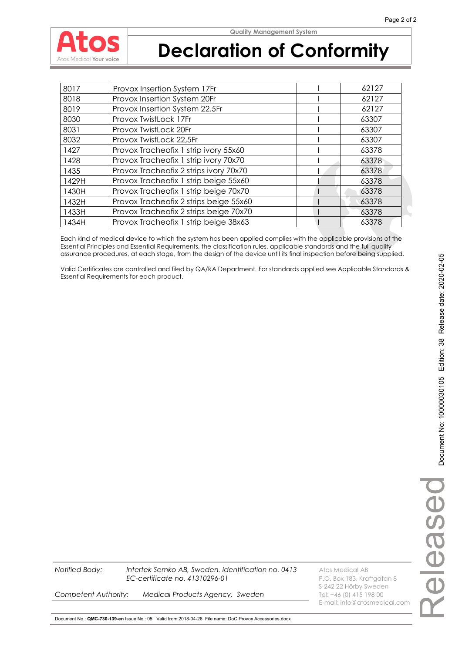

# **Declaration of Conformity**

| 8017  | Provox Insertion System 17Fr           | 62127 |
|-------|----------------------------------------|-------|
| 8018  | Provox Insertion System 20Fr           | 62127 |
| 8019  | Provox Insertion System 22.5Fr         | 62127 |
| 8030  | Provox TwistLock 17Fr                  | 63307 |
| 8031  | Provox TwistLock 20Fr                  | 63307 |
| 8032  | Provox TwistLock 22,5Fr                | 63307 |
| 1427  | Provox Tracheofix 1 strip ivory 55x60  | 63378 |
| 1428  | Provox Tracheofix 1 strip ivory 70x70  | 63378 |
| 1435  | Provox Tracheofix 2 strips ivory 70x70 | 63378 |
| 1429H | Provox Tracheofix 1 strip beige 55x60  | 63378 |
| 1430H | Provox Tracheofix 1 strip beige 70x70  | 63378 |
| 1432H | Provox Tracheofix 2 strips beige 55x60 | 63378 |
| 1433H | Provox Tracheofix 2 strips beige 70x70 | 63378 |
| 1434H | Provox Tracheofix 1 strip beige 38x63  | 63378 |

Each kind of medical device to which the system has been applied complies with the applicable provisions of the Essential Principles and Essential Requirements, the classification rules, applicable standards and the full quality assurance procedures, at each stage, from the design of the device until its final inspection before being supplied.

Valid Certificates are controlled and filed by QA/RA Department. For standards applied see Applicable Standards & Essential Requirements for each product.

**Notified Body:** Intertek Semko AB, Sweden. Identification no. 0413 Atos Medical AB *EC-certificate no. 41310296-01* P.O. Box 183, Kraftgatan 8

S-242 22 Hörby Sweden E-mail: info@atosmedical.com

**Competent Authority: Medical Products Agency, Sweden** Tel: +46 (0) 415 198 00

Document No.: **QMC-730-139-en** Issue No.: 05 Valid from:2018-04-26 File name: DoC Provox Accessories.docx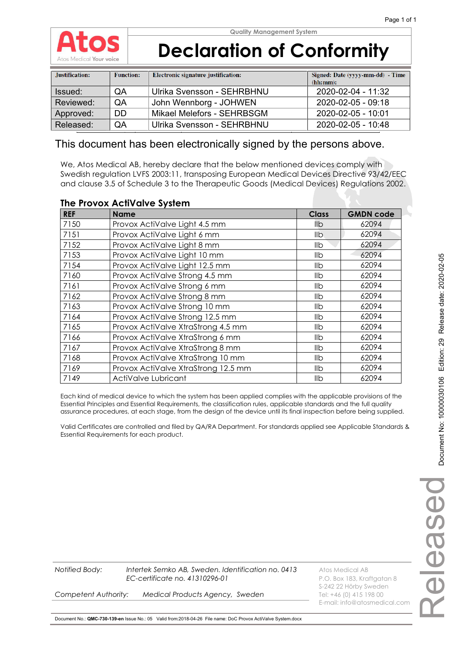

| Justification: | <b>Function:</b> | Electronic signature justification: | Signed: Date (yyyy-mm-dd) - Time<br>(hh:mm): |
|----------------|------------------|-------------------------------------|----------------------------------------------|
| Issued:        | <b>OA</b>        | Ulrika Svensson - SEHRBHNU          | 2020-02-04 - 11:32                           |
| Reviewed:      | QA               | John Wennborg - JOHWEN              | 2020-02-05 - 09:18                           |
| Approved:      | <b>DD</b>        | Mikael Melefors - SEHRBSGM          | 2020-02-05 - 10:01                           |
| Released:      | QA               | Ulrika Svensson - SEHRBHNU          | 2020-02-05 - 10:48                           |

### This document has been electronically signed by the persons above.

We, Atos Medical AB, hereby declare that the below mentioned devices comply with Swedish regulation LVFS 2003:11, transposing European Medical Devices Directive 93/42/EEC and clause 3.5 of Schedule 3 to the Therapeutic Goods (Medical Devices) Regulations 2002.

#### **The Provox ActiValve System**

| <b>REF</b> | <b>Name</b>                         | <b>Class</b> | <b>GMDN code</b> |
|------------|-------------------------------------|--------------|------------------|
| 7150       | Provox ActiValve Light 4.5 mm       | llb          | 62094            |
| 7151       | Provox ActiValve Light 6 mm         | llb.         | 62094            |
| 7152       | Provox ActiValve Light 8 mm         | llb          | 62094            |
| 7153       | Provox ActiValve Light 10 mm        | llb          | 62094            |
| 7154       | Provox ActiValve Light 12.5 mm      | llb          | 62094            |
| 7160       | Provox ActiValve Strong 4.5 mm      | llb          | 62094            |
| 7161       | Provox ActiValve Strong 6 mm        | llb          | 62094            |
| 7162       | Provox ActiValve Strong 8 mm        | llb          | 62094            |
| 7163       | Provox ActiValve Strong 10 mm       | llb          | 62094            |
| 7164       | Provox ActiValve Strong 12.5 mm     | llb          | 62094            |
| 7165       | Provox ActiValve XtraStrong 4.5 mm  | llb          | 62094            |
| 7166       | Provox ActiValve XtraStrong 6 mm    | llb          | 62094            |
| 7167       | Provox ActiValve XtraStrong 8 mm    | llb          | 62094            |
| 7168       | Provox ActiValve XtraStrong 10 mm   | llb          | 62094            |
| 7169       | Provox ActiValve XtraStrong 12.5 mm | llb          | 62094            |
| 7149       | ActiValve Lubricant                 | llb          | 62094            |

Each kind of medical device to which the system has been applied complies with the applicable provisions of the Essential Principles and Essential Requirements, the classification rules, applicable standards and the full quality assurance procedures, at each stage, from the design of the device until its final inspection before being supplied.

Valid Certificates are controlled and filed by QA/RA Department. For standards applied see Applicable Standards & Essential Requirements for each product.

**Notified Body: Intertek Semko AB, Sweden. Identification no. 0413** Atos Medical AB *EC-certificate no. 41310296-01* P.O. Box 183, Kraftgatan 8 S-242 22 Hörby Sweden **Competent Authority: Medical Products Agency, Sweden** Tel: +46 (0) 415 198 00 E-mail: info@atosmedical.com

Document No.: **QMC-730-139-en** Issue No.: 05 Valid from:2018-04-26 File name: DoC Provox ActiValve System.docx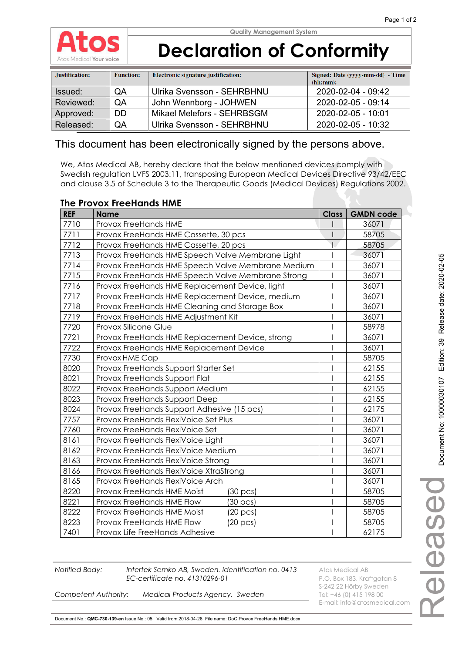

| Justification: | <b>Function:</b> | Electronic signature justification: | Signed: Date (yyyy-mm-dd) - Time<br>(hh:mm): |
|----------------|------------------|-------------------------------------|----------------------------------------------|
| Issued:        | <b>OA</b>        | Ulrika Svensson - SEHRBHNU          | 2020-02-04 - 09:42                           |
| Reviewed:      | <b>OA</b>        | John Wennborg - JOHWEN              | 2020-02-05 - 09:14                           |
| Approved:      | DD.              | Mikael Melefors - SEHRBSGM          | 2020-02-05 - 10:01                           |
| Released:      | QA               | Ulrika Svensson - SEHRBHNU          | 2020-02-05 - 10:32                           |

### This document has been electronically signed by the persons above.

We, Atos Medical AB, hereby declare that the below mentioned devices comply with Swedish regulation LVFS 2003:11, transposing European Medical Devices Directive 93/42/EEC and clause 3.5 of Schedule 3 to the Therapeutic Goods (Medical Devices) Regulations 2002.

#### **The Provox FreeHands HME**

| <b>REF</b> | <b>Name</b>                                       | <b>Class</b> | <b>GMDN code</b> |
|------------|---------------------------------------------------|--------------|------------------|
| 7710       | <b>Provox FreeHands HME</b>                       |              | 36071            |
| 7711       | Provox FreeHands HME Cassette, 30 pcs             |              | 58705            |
| 7712       | Provox FreeHands HME Cassette, 20 pcs             |              | 58705            |
| 7713       | Provox FreeHands HME Speech Valve Membrane Light  |              | 36071            |
| 7714       | Provox FreeHands HME Speech Valve Membrane Medium |              | 36071            |
| 7715       | Provox FreeHands HME Speech Valve Membrane Strong |              | 36071            |
| 7716       | Provox FreeHands HME Replacement Device, light    |              | 36071            |
| 7717       | Provox FreeHands HME Replacement Device, medium   |              | 36071            |
| 7718       | Provox FreeHands HME Cleaning and Storage Box     |              | 36071            |
| 7719       | Provox FreeHands HME Adjustment Kit               |              | 36071            |
| 7720       | Provox Silicone Glue                              |              | 58978            |
| 7721       | Provox FreeHands HME Replacement Device, strong   |              | 36071            |
| 7722       | Provox FreeHands HME Replacement Device           |              | 36071            |
| 7730       | Provox HME Cap                                    |              | 58705            |
| 8020       | Provox FreeHands Support Starter Set              |              | 62155            |
| 8021       | Provox FreeHands Support Flat                     |              | 62155            |
| 8022       | Provox FreeHands Support Medium                   |              | 62155            |
| 8023       | Provox FreeHands Support Deep                     |              | 62155            |
| 8024       | Provox FreeHands Support Adhesive (15 pcs)        |              | 62175            |
| 7757       | Provox FreeHands FlexiVoice Set Plus              |              | 36071            |
| 7760       | Provox FreeHands FlexiVoice Set                   |              | 36071            |
| 8161       | Provox FreeHands FlexiVoice Light                 |              | 36071            |
| 8162       | Provox FreeHands FlexiVoice Medium                |              | 36071            |
| 8163       | Provox FreeHands FlexiVoice Strong                |              | 36071            |
| 8166       | Provox FreeHands FlexiVoice XtraStrong            |              | 36071            |
| 8165       | Provox FreeHands FlexiVoice Arch                  |              | 36071            |
| 8220       | Provox FreeHands HME Moist<br>(30 pcs)            |              | 58705            |
| 8221       | Provox FreeHands HME Flow<br>(30 pcs)             |              | 58705            |
| 8222       | Provox FreeHands HME Moist<br>(20 pcs)            |              | 58705            |
| 8223       | Provox FreeHands HME Flow<br>$(20 \text{ pcs})$   |              | 58705            |
| 7401       | Provox Life FreeHands Adhesive                    |              | 62175            |

**Notified Body:** Intertek Semko AB, Sweden. Identification no. 0413 Atos Medical AB **EC-certificate no. 41310296-01** P.O. Box 183, Kraftgatan 8

S-242 22 Hörby Sweden E-mail: info@atosmedical.com

**Competent Authority: Medical Products Agency, Sweden** Tel: +46 (0) 415 198 00

Document No.: **QMC-730-139-en** Issue No.: 05 Valid from:2018-04-26 File name: DoC Provox FreeHands HME.docx

Released

**IBASBO**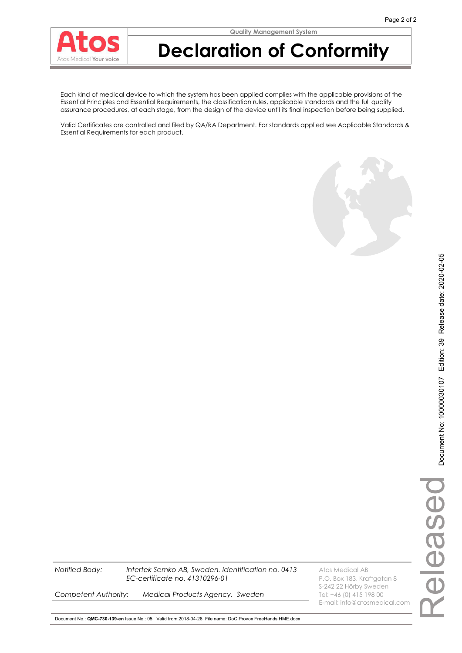### **Declaration of Conformity**

Each kind of medical device to which the system has been applied complies with the applicable provisions of the Essential Principles and Essential Requirements, the classification rules, applicable standards and the full quality assurance procedures, at each stage, from the design of the device until its final inspection before being supplied.

Valid Certificates are controlled and filed by QA/RA Department. For standards applied see Applicable Standards & Essential Requirements for each product.



**Notified Body:** Intertek Semko AB, Sweden. Identification no. 0413 Atos Medical AB *EC-certificate no. 41310296-01* P.O. Box 183, Kraftgatan 8

**Competent Authority: Medical Products Agency, Sweden** Tel: +46 (0) 415 198 00

S-242 22 Hörby Sweden E-mail: info@atosmedical.com

Document No.: **QMC-730-139-en** Issue No.: 05 Valid from:2018-04-26 File name: DoC Provox FreeHands HME.docx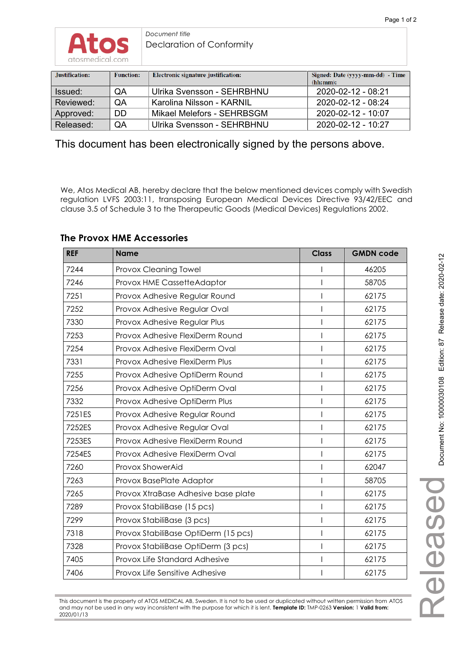

*Document title*  Declaration of Conformity

| Justification: | <b>Function:</b> | Electronic signature justification: | Signed: Date (yyyy-mm-dd) - Time<br>(hh:mm): |
|----------------|------------------|-------------------------------------|----------------------------------------------|
| Issued:        | QA               | Ulrika Svensson - SEHRBHNU          | $2020 - 02 - 12 - 08:21$                     |
| Reviewed:      | <b>OA</b>        | Karolina Nilsson - KARNIL           | $2020 - 02 - 12 - 08:24$                     |
| Approved:      | DD.              | Mikael Melefors - SEHRBSGM          | $2020 - 02 - 12 - 10.07$                     |
| Released:      | QA               | Ulrika Svensson - SEHRBHNU          | $2020 - 02 - 12 - 10:27$                     |

This document has been electronically signed by the persons above.

We, Atos Medical AB, hereby declare that the below mentioned devices comply with Swedish regulation LVFS 2003:11, transposing European Medical Devices Directive 93/42/EEC and clause 3.5 of Schedule 3 to the Therapeutic Goods (Medical Devices) Regulations 2002.

| <b>REF</b> | <b>Name</b>                          | <b>Class</b> | <b>GMDN code</b> |
|------------|--------------------------------------|--------------|------------------|
| 7244       | Provox Cleaning Towel                |              | 46205            |
| 7246       | Provox HME CassetteAdaptor           |              | 58705            |
| 7251       | Provox Adhesive Regular Round        |              | 62175            |
| 7252       | Provox Adhesive Regular Oval         |              | 62175            |
| 7330       | Provox Adhesive Regular Plus         |              | 62175            |
| 7253       | Provox Adhesive FlexiDerm Round      |              | 62175            |
| 7254       | Provox Adhesive FlexiDerm Oval       |              | 62175            |
| 7331       | Provox Adhesive FlexiDerm Plus       |              | 62175            |
| 7255       | Provox Adhesive OptiDerm Round       |              | 62175            |
| 7256       | Provox Adhesive OptiDerm Oval        |              | 62175            |
| 7332       | Provox Adhesive OptiDerm Plus        |              | 62175            |
| 7251ES     | Provox Adhesive Regular Round        |              | 62175            |
| 7252ES     | Provox Adhesive Regular Oval         |              | 62175            |
| 7253ES     | Provox Adhesive FlexiDerm Round      |              | 62175            |
| 7254ES     | Provox Adhesive FlexiDerm Oval       |              | 62175            |
| 7260       | Provox ShowerAid                     |              | 62047            |
| 7263       | Provox BasePlate Adaptor             |              | 58705            |
| 7265       | Provox XtraBase Adhesive base plate  |              | 62175            |
| 7289       | Provox StabiliBase (15 pcs)          |              | 62175            |
| 7299       | Provox StabiliBase (3 pcs)           |              | 62175            |
| 7318       | Provox StabiliBase OptiDerm (15 pcs) |              | 62175            |
| 7328       | Provox StabiliBase OptiDerm (3 pcs)  | 62175        |                  |
| 7405       | Provox Life Standard Adhesive        |              | 62175            |
| 7406       | Provox Life Sensitive Adhesive       |              | 62175            |

#### **The Provox HME Accessories**

This document is the property of ATOS MEDICAL AB, Sweden. It is not to be used or duplicated without written permission from ATOS and may not be used in any way inconsistent with the purpose for which it is lent. **Template ID:** TMP-0263 **Version:** 1 **Valid from:** 2020/01/13

Released

Released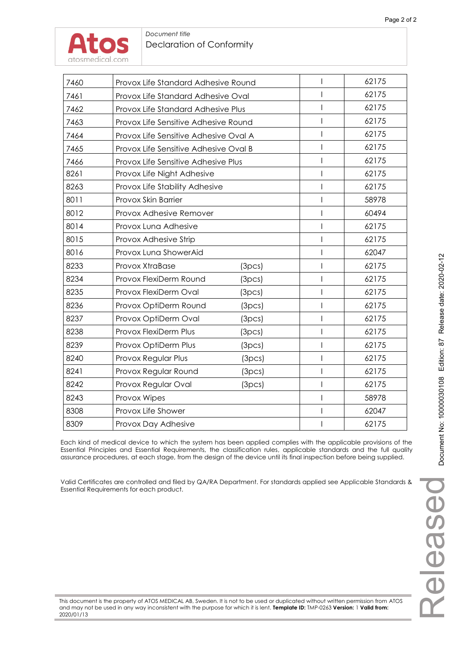| 7460 | Provox Life Standard Adhesive Round   |        |       | 62175 |
|------|---------------------------------------|--------|-------|-------|
| 7461 | Provox Life Standard Adhesive Oval    |        |       | 62175 |
| 7462 | Provox Life Standard Adhesive Plus    |        |       | 62175 |
| 7463 | Provox Life Sensitive Adhesive Round  |        |       | 62175 |
| 7464 | Provox Life Sensitive Adhesive Oval A |        | 62175 |       |
| 7465 | Provox Life Sensitive Adhesive Oval B |        |       | 62175 |
| 7466 | Provox Life Sensitive Adhesive Plus   |        |       | 62175 |
| 8261 | Provox Life Night Adhesive            |        |       | 62175 |
| 8263 | Provox Life Stability Adhesive        |        |       | 62175 |
| 8011 | Provox Skin Barrier                   |        |       | 58978 |
| 8012 | Provox Adhesive Remover               |        |       | 60494 |
| 8014 | Provox Luna Adhesive                  | I      | 62175 |       |
| 8015 | Provox Adhesive Strip                 |        |       | 62175 |
| 8016 | Provox Luna ShowerAid                 |        |       | 62047 |
| 8233 | Provox XtraBase                       | (3pcs) |       | 62175 |
| 8234 | Provox FlexiDerm Round                | (3pcs) |       | 62175 |
| 8235 | Provox FlexiDerm Oval                 | (3pcs) |       | 62175 |
| 8236 | Provox OptiDerm Round                 | (3pcs) |       | 62175 |
| 8237 | Provox OptiDerm Oval                  | (3pcs) |       | 62175 |
| 8238 | Provox FlexiDerm Plus                 | (3pcs) |       | 62175 |
| 8239 | Provox OptiDerm Plus                  | (3pcs) |       | 62175 |
| 8240 | Provox Regular Plus                   | (3pcs) |       | 62175 |
| 8241 | Provox Regular Round                  | (3pcs) |       | 62175 |
| 8242 | Provox Regular Oval                   | (3pcs) |       | 62175 |
| 8243 | Provox Wipes                          |        |       | 58978 |
| 8308 | Provox Life Shower                    |        |       | 62047 |
| 8309 | Provox Day Adhesive                   |        |       | 62175 |
|      |                                       |        |       |       |

Each kind of medical device to which the system has been applied complies with the applicable provisions of the Essential Principles and Essential Requirements, the classification rules, applicable standards and the full quality assurance procedures, at each stage, from the design of the device until its final inspection before being supplied.

Valid Certificates are controlled and filed by QA/RA Department. For standards applied see Applicable Standards & Essential Requirements for each product.

This document is the property of ATOS MEDICAL AB, Sweden. It is not to be used or duplicated without written permission from ATOS and may not be used in any way inconsistent with the purpose for which it is lent. **Template ID:** TMP-0263 **Version:** 1 **Valid from:** 2020/01/13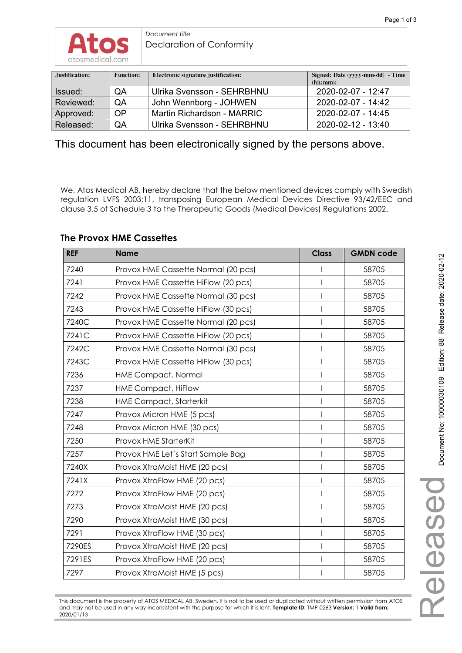

*Document title*  Declaration of Conformity

| Justification: | <b>Function:</b> | Electronic signature justification: | Signed: Date (yyyy-mm-dd) - Time<br>(hh:mm): |
|----------------|------------------|-------------------------------------|----------------------------------------------|
| Issued:        | QA               | Ulrika Svensson - SEHRBHNU          | 2020-02-07 - 12:47                           |
| Reviewed:      | QA               | John Wennborg - JOHWEN              | 2020-02-07 - 14:42                           |
| Approved:      | OP               | Martin Richardson - MARRIC          | 2020-02-07 - 14:45                           |
| Released:      | QA               | Ulrika Svensson - SEHRBHNU          | $2020 - 02 - 12 - 13:40$                     |

This document has been electronically signed by the persons above.

We, Atos Medical AB, hereby declare that the below mentioned devices comply with Swedish regulation LVFS 2003:11, transposing European Medical Devices Directive 93/42/EEC and clause 3.5 of Schedule 3 to the Therapeutic Goods (Medical Devices) Regulations 2002.

### **REF Name Reference All Analysis Class GMDN code** 7240 Provox HME Cassette Normal (20 pcs) I 58705 7241 Provox HME Cassette HiFlow (20 pcs) I 58705 7242 Provox HME Cassette Normal (30 pcs) I 58705 7243 Provox HME Cassette HiFlow (30 pcs) The Research Higgs 1 S8705 7240C Provox HME Cassette Normal (20 pcs) I 58705 7241C Provox HME Cassette HiFlow (20 pcs) The Research Higgs 1 S8705 7242C Provox HME Cassette Normal (30 pcs) The Research Hotel S8705 7243C Provox HME Cassette HiFlow (30 pcs) The Research Higgs 1 S8705 7236 HME Compact, Normal I 58705 7237 HME Compact, HiFlow I 58705 7238 HME Compact, Starterkit I 58705 7247 | Provox Micron HME (5 pcs) | | | 58705 7248 | Provox Micron HME (30 pcs) | | | 58705 7250 Provox HME StarterKit I 58705 7257 Provox HME Let's Start Sample Bag I Film Research S8705 7240X Provox XtraMoist HME (20 pcs) The Research Hotel S8705 7241X Provox XtraFlow HME (20 pcs) I 58705 7272 Provox XtraFlow HME (20 pcs) The Research Contract Number of S8705 7273 Provox XtraMoist HME (20 pcs) I 58705 7290 | Provox XtraMoist HME (30 pcs) | | | | 58705 7291 Provox XtraFlow HME (30 pcs) I 58705 7290ES | Provox XtraMoist HME (20 pcs) | | | | 58705 7291ES | Provox XtraFlow HME (20 pcs) | | | | 58705 7297 Provox XtraMoist HME (5 pcs) The Research Contract Number of the S8705

### **The Provox HME Cassettes**

This document is the property of ATOS MEDICAL AB, Sweden. It is not to be used or duplicated without written permission from ATOS and may not be used in any way inconsistent with the purpose for which it is lent. **Template ID:** TMP-0263 **Version:** 1 **Valid from:** 2020/01/13

Released

Released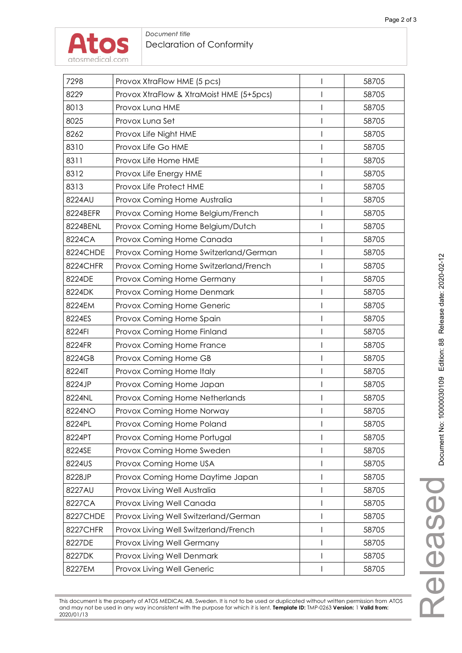Released



#### *Document title*  Declaration of Conformity

| 7298<br>Provox XtraFlow HME (5 pcs)<br>58705<br>I                |  |
|------------------------------------------------------------------|--|
| 8229<br>Provox XtraFlow & XtraMoist HME (5+5pcs)<br>58705        |  |
| 8013<br>58705<br>Provox Luna HME<br>8025<br>Provox Luna Set<br>I |  |
| 58705<br>I                                                       |  |
| 8262<br>Provox Life Night HME<br>58705                           |  |
| 8310<br>Provox Life Go HME<br>58705<br>I                         |  |
| Provox Life Home HME<br>8311<br>58705<br>I                       |  |
| 8312<br>58705<br>Provox Life Energy HME<br>I                     |  |
| 8313<br>Provox Life Protect HME<br>58705                         |  |
| 8224AU<br>Provox Coming Home Australia<br>58705                  |  |
| 8224BEFR<br>I<br>58705<br>Provox Coming Home Belgium/French      |  |
| 8224BENL<br>Provox Coming Home Belgium/Dutch<br>58705<br>I       |  |
| 8224CA<br>Provox Coming Home Canada<br>58705<br>I                |  |
| 8224CHDE<br>Provox Coming Home Switzerland/German<br>58705       |  |
| 8224CHFR<br>58705<br>Provox Coming Home Switzerland/French<br>I  |  |
| 8224DE<br>Provox Coming Home Germany<br>58705                    |  |
| 8224DK<br>I<br>58705<br>Provox Coming Home Denmark               |  |
| 8224EM<br>Provox Coming Home Generic<br>I<br>58705               |  |
| Provox Coming Home Spain<br>8224ES<br>58705<br>I                 |  |
| 8224FI<br>58705<br>Provox Coming Home Finland                    |  |
| 8224FR<br>Provox Coming Home France<br>58705                     |  |
| 8224GB<br>Provox Coming Home GB<br>58705                         |  |
| 8224IT<br>I<br>58705<br>Provox Coming Home Italy                 |  |
| 8224JP<br>Provox Coming Home Japan<br>58705<br>I                 |  |
| 8224NL<br>Provox Coming Home Netherlands<br>58705                |  |
| 58705<br>8224NO<br>Provox Coming Home Norway                     |  |
| 8224PL<br>Provox Coming Home Poland<br>58705                     |  |
| 8224PT<br>Provox Coming Home Portugal<br>58705                   |  |
| 8224SE<br>Provox Coming Home Sweden<br>I<br>58705                |  |
| 8224US<br>Provox Coming Home USA<br>58705                        |  |
| 8228JP<br>Provox Coming Home Daytime Japan<br>58705<br>I         |  |
| 8227AU<br>Provox Living Well Australia<br>58705                  |  |
| 8227CA<br>Provox Living Well Canada<br>58705<br>I                |  |
| 8227CHDE<br>Provox Living Well Switzerland/German<br>I<br>58705  |  |
| 8227CHFR<br>Provox Living Well Switzerland/French<br>58705<br>I  |  |
| 8227DE<br>Provox Living Well Germany<br>I<br>58705               |  |
| Provox Living Well Denmark<br>8227DK<br>58705<br>I               |  |
| 8227EM<br>58705<br>Provox Living Well Generic                    |  |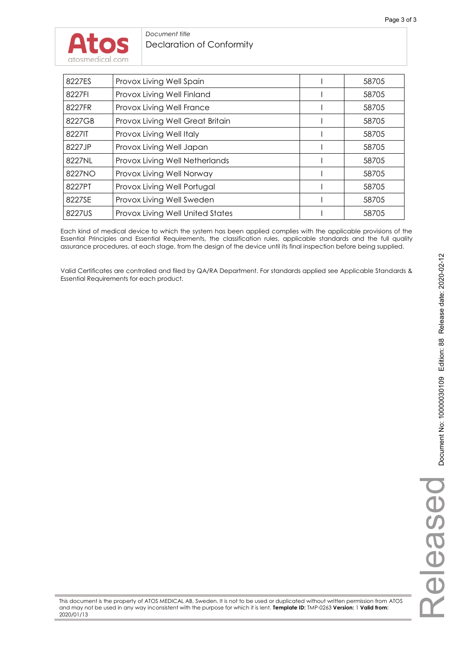| 8227ES<br>Provox Living Well Spain<br>58705<br>Provox Living Well Finland<br>8227FI<br>58705<br>Provox Living Well France<br>8227FR<br>58705<br>Provox Living Well Great Britain<br>8227GB<br>58705<br>8227JT<br>Provox Living Well Italy<br>58705<br>8227JP<br>Provox Living Well Japan<br>58705<br>8227NL<br>Provox Living Well Netherlands<br>58705<br>8227NO<br>Provox Living Well Norway<br>58705<br>8227PT<br>Provox Living Well Portugal<br>58705<br>Provox Living Well Sweden<br>8227SE<br>58705<br>8227US<br>Provox Living Well United States<br>58705 |  |  |
|-----------------------------------------------------------------------------------------------------------------------------------------------------------------------------------------------------------------------------------------------------------------------------------------------------------------------------------------------------------------------------------------------------------------------------------------------------------------------------------------------------------------------------------------------------------------|--|--|
|                                                                                                                                                                                                                                                                                                                                                                                                                                                                                                                                                                 |  |  |
|                                                                                                                                                                                                                                                                                                                                                                                                                                                                                                                                                                 |  |  |
|                                                                                                                                                                                                                                                                                                                                                                                                                                                                                                                                                                 |  |  |
|                                                                                                                                                                                                                                                                                                                                                                                                                                                                                                                                                                 |  |  |
|                                                                                                                                                                                                                                                                                                                                                                                                                                                                                                                                                                 |  |  |
|                                                                                                                                                                                                                                                                                                                                                                                                                                                                                                                                                                 |  |  |
|                                                                                                                                                                                                                                                                                                                                                                                                                                                                                                                                                                 |  |  |
|                                                                                                                                                                                                                                                                                                                                                                                                                                                                                                                                                                 |  |  |
|                                                                                                                                                                                                                                                                                                                                                                                                                                                                                                                                                                 |  |  |
|                                                                                                                                                                                                                                                                                                                                                                                                                                                                                                                                                                 |  |  |
|                                                                                                                                                                                                                                                                                                                                                                                                                                                                                                                                                                 |  |  |

Each kind of medical device to which the system has been applied complies with the applicable provisions of the Essential Principles and Essential Requirements, the classification rules, applicable standards and the full quality assurance procedures, at each stage, from the design of the device until its final inspection before being supplied.

Valid Certificates are controlled and filed by QA/RA Department. For standards applied see Applicable Standards & Essential Requirements for each product.

This document is the property of ATOS MEDICAL AB, Sweden. It is not to be used or duplicated without written permission from ATOS and may not be used in any way inconsistent with the purpose for which it is lent. **Template ID:** TMP-0263 **Version:** 1 **Valid from:** 2020/01/13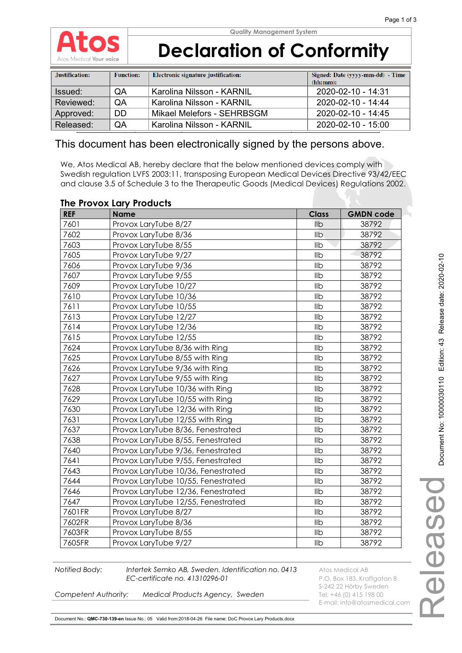

| Justification: | <b>Function:</b> | Electronic signature justification: | Signed: Date (yyyy-mm-dd) - Time<br>(hh:mm): |
|----------------|------------------|-------------------------------------|----------------------------------------------|
| Issued:        | <b>OA</b>        | Karolina Nilsson - KARNIL           | 2020-02-10 - 14:31                           |
| Reviewed:      | <b>OA</b>        | Karolina Nilsson - KARNIL           | 2020-02-10 - 14:44                           |
| Approved:      | DD.              | Mikael Melefors - SEHRBSGM          | 2020-02-10 - 14:45                           |
| Released:      | QA               | Karolina Nilsson - KARNIL           | 2020-02-10 - 15:00                           |

### This document has been electronically signed by the persons above.

We, Atos Medical AB, hereby declare that the below mentioned devices comply with Swedish regulation LVFS 2003:11, transposing European Medical Devices Directive 93/42/EEC and clause 3.5 of Schedule 3 to the Therapeutic Goods (Medical Devices) Regulations 2002.

### **The Provox Lary Products**

| <b>REF</b> | . .<br><b>Name</b>                        | <b>Class</b>   | <b>GMDN code</b> |
|------------|-------------------------------------------|----------------|------------------|
| 7601       | Provox LaryTube 8/27                      | llb            | 38792            |
| 7602       | Provox LaryTube 8/36                      | Ilb            | 38792            |
| 7603       | Provox LaryTube 8/55                      | Ilb            | 38792            |
| 7605       | Provox LaryTube 9/27                      | Ilb            | 38792            |
| 7606       | Provox LaryTube 9/36                      | Ilb            | 38792            |
| 7607       | Provox LaryTube 9/55                      | Ilb            | 38792            |
| 7609       | Provox LaryTube 10/27                     | Ilb            | 38792            |
| 7610       | Provox LaryTube 10/36                     | Ilb            | 38792            |
| 7611       | Provox LaryTube 10/55                     | Ilb            | 38792            |
| 7613       | Provox LaryTube 12/27                     | Ilb            | 38792            |
| 7614       | Provox LaryTube 12/36                     | Ilb            | 38792            |
| 7615       | Provox LaryTube 12/55                     | Ilb            | 38792            |
| 7624       | Provox LaryTube 8/36 with Ring            | Ilb            | 38792            |
| 7625       | Provox LaryTube 8/55 with Ring            | Ilb            | 38792            |
| 7626       | Provox LaryTube 9/36 with Ring            | Ilb            | 38792            |
| 7627       | Provox LaryTube 9/55 with Ring            | Ilb            | 38792            |
| 7628       | Provox LaryTube 10/36 with Ring           | Ilb            | 38792            |
| 7629       | Provox LaryTube 10/55 with Ring           | Ilb            | 38792            |
| 7630       | Provox LaryTube 12/36 with Ring           | Ilb            | 38792            |
| 7631       | Provox LaryTube 12/55 with Ring           | Ilb            | 38792            |
| 7637       | Provox LaryTube 8/36, Fenestrated         | Ilb            | 38792            |
| 7638       | Provox LaryTube 8/55, Fenestrated         | Ilb            | 38792            |
| 7640       | Provox LaryTube 9/36, Fenestrated         | Ilb            | 38792            |
| 7641       | Provox LaryTube 9/55, Fenestrated         | Ilb            | 38792            |
| 7643       | Provox LaryTube 10/36, Fenestrated        | Ilb            | 38792            |
| 7644       | Provox LaryTube 10/55, Fenestrated        | Ilb            | 38792            |
| 7646       | Ilb<br>Provox LaryTube 12/36, Fenestrated |                | 38792            |
| 7647       | Provox LaryTube 12/55, Fenestrated        | Ilb            | 38792            |
| 7601FR     | Provox LaryTube 8/27                      | Ilb            | 38792            |
| 7602FR     | Provox LaryTube 8/36                      | I <sub>1</sub> | 38792            |
| 7603FR     | Provox LaryTube 8/55                      | Ilb            | 38792            |
| 7605FR     | Provox LaryTube 9/27                      | IIb            | 38792            |

**Notified Body:** Intertek Semko AB, Sweden. Identification no. 0413 Atos Medical AB **EC-certificate no. 41310296-01** P.O. Box 183, Kraftgatan 8

S-242 22 Hörby Sweden E-mail: info@atosmedical.com

**Competent Authority: Medical Products Agency, Sweden** Tel: +46 (0) 415 198 00

Document No.: **QMC-730-139-en** Issue No.: 05 Valid from:2018-04-26 File name: DoC Provox Lary Products.docx

Released

Deseal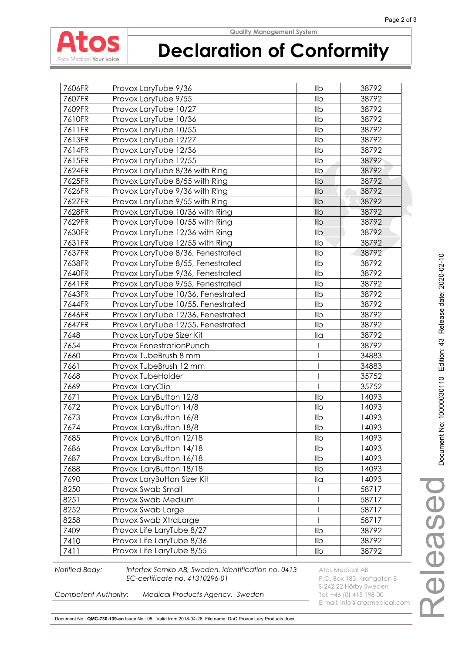

# **Declaration of Conformity**

| 7606FR | Provox LaryTube 9/36               | llb                  | 38792 |
|--------|------------------------------------|----------------------|-------|
| 7607FR | Provox LaryTube 9/55               | Ilb                  | 38792 |
| 7609FR | Provox LaryTube 10/27              | llb                  | 38792 |
| 7610FR | Provox LaryTube 10/36              | Ilb                  | 38792 |
| 7611FR | Provox LaryTube 10/55              | Ilb                  | 38792 |
| 7613FR | Provox LaryTube 12/27              | Ilb                  | 38792 |
| 7614FR | Provox LaryTube 12/36              | IIb                  | 38792 |
| 7615FR | Provox LaryTube 12/55              | Ilb                  | 38792 |
| 7624FR | Provox LaryTube 8/36 with Ring     | <b>IIb</b>           | 38792 |
| 7625FR | Provox LaryTube 8/55 with Ring     | $I_{\text{lib}}$     | 38792 |
| 7626FR | Provox LaryTube 9/36 with Ring     | Ilb                  | 38792 |
| 7627FR | Provox LaryTube 9/55 with Ring     | <b>IIb</b>           | 38792 |
| 7628FR | Provox LaryTube 10/36 with Ring    | Ilb                  | 38792 |
| 7629FR | Provox LaryTube 10/55 with Ring    | llb                  | 38792 |
| 7630FR | Provox LaryTube 12/36 with Ring    | Ilb                  | 38792 |
| 7631FR | Provox LaryTube 12/55 with Ring    | IIb                  | 38792 |
| 7637FR | Provox LaryTube 8/36, Fenestrated  | llb                  | 38792 |
| 7638FR | Provox LaryTube 8/55, Fenestrated  | Ilb                  | 38792 |
| 7640FR | Provox LaryTube 9/36, Fenestrated  | Ilb                  | 38792 |
| 7641FR | Provox LaryTube 9/55, Fenestrated  | Ilb                  | 38792 |
| 7643FR | Provox LaryTube 10/36, Fenestrated | Ilb                  | 38792 |
| 7644FR | Provox LaryTube 10/55, Fenestrated | llb                  | 38792 |
| 7646FR | Provox LaryTube 12/36, Fenestrated | Ilb                  | 38792 |
| 7647FR | Provox LaryTube 12/55, Fenestrated | Ilb                  | 38792 |
| 7648   | Provox LaryTube Sizer Kit          | $\mathsf{II} \alpha$ | 38792 |
| 7654   | Provox FenestrationPunch           |                      | 38792 |
| 7660   | Provox TubeBrush 8 mm              |                      | 34883 |
| 7661   | Provox TubeBrush 12 mm             |                      | 34883 |
| 7668   | Provox TubeHolder                  |                      | 35752 |
| 7669   | Provox LaryClip                    |                      | 35752 |
| 7671   | Provox LaryButton 12/8             | Ilb                  | 14093 |
| 7672   | Provox LaryButton 14/8             | Ilb                  | 14093 |
| 7673   | Provox LaryButton 16/8             | llb                  | 14093 |
| 7674   | Provox LaryButton 18/8             | llb                  | 14093 |
| 7685   | Provox LaryButton 12/18            | Ilb                  | 14093 |
| 7686   | Provox LaryButton 14/18            | llb                  | 14093 |
| 7687   | Provox LaryButton 16/18            | llb                  | 14093 |
| 7688   | Provox LaryButton 18/18            | Ilb                  | 14093 |
| 7690   | Provox LaryButton Sizer Kit        | $\mathsf{II} \alpha$ | 14093 |
| 8250   | Provox Swab Small                  |                      | 58717 |
| 8251   | Provox Swab Medium                 |                      | 58717 |
| 8252   | Provox Swab Large                  |                      | 58717 |
| 8258   | Provox Swab XtraLarge              |                      | 58717 |
| 7409   | Provox Life LaryTube 8/27          | Ilb                  | 38792 |
| 7410   | Provox Life LaryTube 8/36          | Ilb                  | 38792 |
| 7411   | Provox Life LaryTube 8/55          | llb                  | 38792 |

**Notified Body:** Intertek Semko AB, Sweden. Identification no. 0413 Atos Medical AB **EC-certificate no. 41310296-01** P.O. Box 183, Kraftgatan 8

S-242 22 Hörby Sweden<br>Tel: +46 (0) 415 198 00 E-mail: info@atosmedical.com

*Competent Authority: Medical Products Agency, Sweden* 

Document No.: **QMC-730-139-en** Issue No.: 05 Valid from:2018-04-26 File name: DoC Provox Lary Products.docx

Released

eleased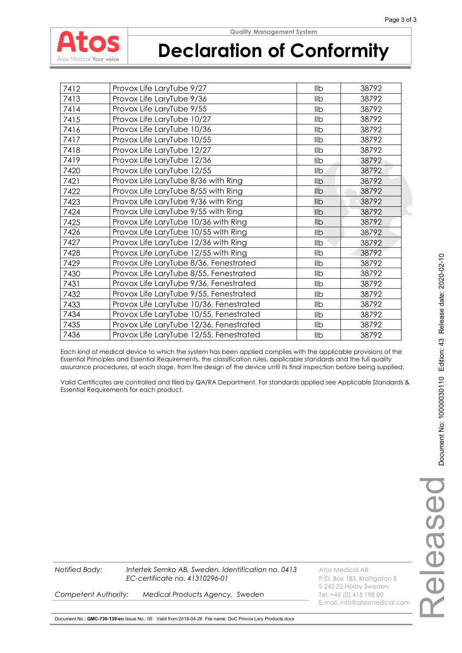

| 7412 | Provox Life LaryTube 9/27                     | llb             | 38792 |
|------|-----------------------------------------------|-----------------|-------|
| 7413 | Provox Life LaryTube 9/36                     | Ilb             | 38792 |
| 7414 | Provox Life LaryTube 9/55                     | llb             | 38792 |
| 7415 | Provox Life LaryTube 10/27                    | IIb             | 38792 |
| 7416 | Provox Life LaryTube 10/36                    | <b>IIb</b>      | 38792 |
| 7417 | Provox Life LaryTube 10/55                    | llb             | 38792 |
| 7418 | Provox Life LaryTube 12/27                    | <b>IIb</b>      | 38792 |
| 7419 | Provox Life LaryTube 12/36                    | Ilb             | 38792 |
| 7420 | Provox Life LaryTube 12/55                    | $I_{\text{lb}}$ | 38792 |
| 7421 | Provox Life LaryTube 8/36 with Ring           | Ilb             | 38792 |
| 7422 | Provox Life LaryTube 8/55 with Ring           | llb             | 38792 |
| 7423 | Provox Life LaryTube 9/36 with Ring           | IID             | 38792 |
| 7424 | Provox Life LaryTube 9/55 with Ring           | <b>IIb</b>      | 38792 |
| 7425 | Provox Life LaryTube 10/36 with Ring          | llb             | 38792 |
| 7426 | Provox Life LaryTube 10/55 with Ring          | llb             | 38792 |
| 7427 | Provox Life LaryTube 12/36 with Ring          | <b>IIb</b>      | 38792 |
| 7428 | Provox Life LaryTube 12/55 with Ring          | llb             | 38792 |
| 7429 | Provox Life LaryTube 8/36, Fenestrated        | llb             | 38792 |
| 7430 | Provox Life LaryTube 8/55, Fenestrated        | llb             | 38792 |
| 7431 | Provox Life LaryTube 9/36, Fenestrated        | llb             | 38792 |
| 7432 | Provox Life LaryTube 9/55, Fenestrated<br>llb |                 | 38792 |
| 7433 | Provox Life LaryTube 10/36, Fenestrated       | 38792           |       |
| 7434 | Provox Life LaryTube 10/55, Fenestrated       |                 | 38792 |
| 7435 | Provox Life LaryTube 12/36, Fenestrated       | llb             | 38792 |
| 7436 | Provox Life LaryTube 12/55, Fenestrated       | llb             | 38792 |

Each kind of medical device to which the system has been applied complies with the applicable provisions of the Essential Principles and Essential Requirements, the classification rules, applicable standards and the full quality assurance procedures, at each stage, from the design of the device until its final inspection before being supplied.

Valid Certificates are controlled and filed by QA/RA Department. For standards applied see Applicable Standards & Essential Requirements for each product.



S-242 22 Hörby Sweden

E-mail: info@atosmedical.com

**Competent Authority: Medical Products Agency, Sweden** Tel: +46 (0) 415 198 00

Document No.: **QMC-730-139-en** Issue No.: 05 Valid from:2018-04-26 File name: DoC Provox Lary Products.docx

**Notified Body:** Intertek Semko AB, Sweden. Identification no. 0413 Atos Medical AB

*EC-certificate no. 41310296-01* P.O. Box 183, Kraftgatan 8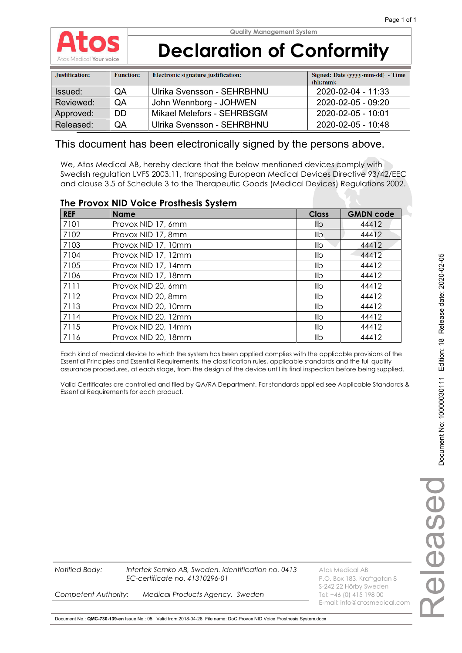

| Justification: | <b>Function:</b> | Electronic signature justification: | Signed: Date (yyyy-mm-dd) - Time<br>(hh:mm): |
|----------------|------------------|-------------------------------------|----------------------------------------------|
| Issued:        | QA               | Ulrika Svensson - SEHRBHNU          | 2020-02-04 - 11:33                           |
| Reviewed:      | <b>OA</b>        | John Wennborg - JOHWEN              | 2020-02-05 - 09:20                           |
| Approved:      | DD.              | Mikael Melefors - SEHRBSGM          | 2020-02-05 - 10:01                           |
| Released:      | QA               | Ulrika Svensson - SEHRBHNU          | 2020-02-05 - 10:48                           |

### This document has been electronically signed by the persons above.

We, Atos Medical AB, hereby declare that the below mentioned devices comply with Swedish regulation LVFS 2003:11, transposing European Medical Devices Directive 93/42/EEC and clause 3.5 of Schedule 3 to the Therapeutic Goods (Medical Devices) Regulations 2002.

#### **The Provox NID Voice Prosthesis System**

| <b>REF</b> | <b>Name</b>         | <b>Class</b> | <b>GMDN code</b> |
|------------|---------------------|--------------|------------------|
| 7101       | Provox NID 17, 6mm  | llb          | 44412            |
| 7102       | Provox NID 17, 8mm  | llb.         | 44412            |
| 7103       | Provox NID 17, 10mm | llb          | 44412            |
| 7104       | Provox NID 17, 12mm | llb          | 44412            |
| 7105       | Provox NID 17, 14mm | llb          | 44412            |
| 7106       | Provox NID 17, 18mm | llb          | 44412            |
| 7111       | Provox NID 20, 6mm  | llb          | 44412            |
| 7112       | Provox NID 20, 8mm  | llb          | 44412            |
| 7113       | Provox NID 20, 10mm | llb          | 44412            |
| 7114       | Provox NID 20, 12mm | llb          | 44412            |
| 7115       | Provox NID 20, 14mm | llb          | 44412            |
| 7116       | Provox NID 20, 18mm | llb          | 44412            |

Each kind of medical device to which the system has been applied complies with the applicable provisions of the Essential Principles and Essential Requirements, the classification rules, applicable standards and the full quality assurance procedures, at each stage, from the design of the device until its final inspection before being supplied.

Valid Certificates are controlled and filed by QA/RA Department. For standards applied see Applicable Standards & Essential Requirements for each product.

**Competent Authority: Medical Products Agency, Sweden** Tel: +46 (0) 415 198 00

**Notified Body: Intertek Semko AB, Sweden. Identification no. 0413** Atos Medical AB *EC-certificate no. 41310296-01* P.O. Box 183, Kraftgatan 8 S-242 22 Hörby Sweden E-mail: info@atosmedical.com

Document No.: **QMC-730-139-en** Issue No.: 05 Valid from:2018-04-26 File name: DoC Provox NID Voice Prosthesis System.docx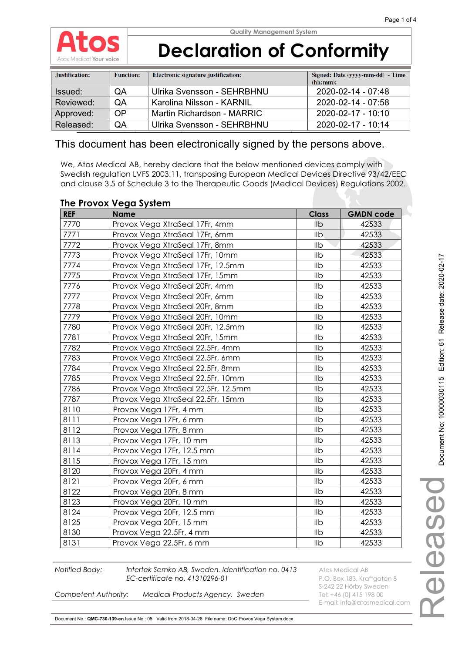

| Justification: | <b>Function:</b> | Electronic signature justification: | Signed: Date (yyyy-mm-dd) - Time<br>(hh:mm): |
|----------------|------------------|-------------------------------------|----------------------------------------------|
| Issued:        | QA               | Ulrika Svensson - SEHRBHNU          | 2020-02-14 - 07:48                           |
| Reviewed:      | QA               | Karolina Nilsson - KARNIL           | 2020-02-14 - 07:58                           |
| Approved:      | OP               | Martin Richardson - MARRIC          | 2020-02-17 - 10:10                           |
| Released:      | QA               | Ulrika Svensson - SEHRBHNU          | 2020-02-17 - 10:14                           |

### This document has been electronically signed by the persons above.

We, Atos Medical AB, hereby declare that the below mentioned devices comply with Swedish regulation LVFS 2003:11, transposing European Medical Devices Directive 93/42/EEC and clause 3.5 of Schedule 3 to the Therapeutic Goods (Medical Devices) Regulations 2002.

| The Flovox vega system |                                     |                 |                  |  |  |
|------------------------|-------------------------------------|-----------------|------------------|--|--|
| <b>REF</b>             | <b>Name</b>                         | <b>Class</b>    | <b>GMDN code</b> |  |  |
| 7770                   | Provox Vega XtraSeal 17Fr, 4mm      | llb             | 42533            |  |  |
| 7771                   | Provox Vega XtraSeal 17Fr, 6mm      | <b>IIb</b>      | 42533            |  |  |
| 7772                   | Provox Vega XtraSeal 17Fr, 8mm      | Ilb             | 42533            |  |  |
| 7773                   | Provox Vega XtraSeal 17Fr, 10mm     | IIb             | 42533            |  |  |
| 7774                   | Provox Vega XtraSeal 17Fr, 12.5mm   | Ilb             | 42533            |  |  |
| 7775                   | Provox Vega XtraSeal 17Fr, 15mm     | IIb             | 42533            |  |  |
| 7776                   | Provox Vega XtraSeal 20Fr, 4mm      | Ilb             | 42533            |  |  |
| 7777                   | Provox Vega XtraSeal 20Fr, 6mm      | I <sub>II</sub> | 42533            |  |  |
| 7778                   | Provox Vega XtraSeal 20Fr, 8mm      | Ilb             | 42533            |  |  |
| 7779                   | Provox Vega XtraSeal 20Fr, 10mm     | Ilb             | 42533            |  |  |
| 7780                   | Provox Vega XtraSeal 20Fr, 12.5mm   | I <sub>1</sub>  | 42533            |  |  |
| 7781                   | Provox Vega XtraSeal 20Fr, 15mm     | Ilb             | 42533            |  |  |
| 7782                   | Provox Vega XtraSeal 22.5Fr, 4mm    | IIb             | 42533            |  |  |
| 7783                   | Provox Vega XtraSeal 22.5Fr, 6mm    | IIb             | 42533            |  |  |
| 7784                   | Provox Vega XtraSeal 22.5Fr, 8mm    | IIb             | 42533            |  |  |
| 7785                   | Provox Vega XtraSeal 22.5Fr, 10mm   | Ilb             | 42533            |  |  |
| 7786                   | Provox Vega XtraSeal 22.5Fr, 12.5mm | Ilb             | 42533            |  |  |
| 7787                   | Provox Vega XtraSeal 22.5Fr, 15mm   | Ilb             | 42533            |  |  |
| 8110                   | Provox Vega 17Fr, 4 mm              | IIb             | 42533            |  |  |
| 8111                   | Provox Vega 17Fr, 6 mm              | Ilb             | 42533            |  |  |
| 8112                   | Provox Vega 17Fr, 8 mm              | Ilb             | 42533            |  |  |
| 8113                   | Provox Vega 17Fr, 10 mm             | Ilb             | 42533            |  |  |
| 8114                   | Provox Vega 17Fr, 12.5 mm           | Ilb             | 42533            |  |  |
| 8115                   | Provox Vega 17Fr, 15 mm             | IIb             | 42533            |  |  |
| 8120                   | Provox Vega 20Fr, 4 mm              | Ilb             | 42533            |  |  |
| 8121                   | Provox Vega 20Fr, 6 mm              | IIb             | 42533            |  |  |
| 8122                   | Provox Vega 20Fr, 8 mm              | Ilb             | 42533            |  |  |
| 8123                   | Provox Vega 20Fr, 10 mm             | Ilb             | 42533            |  |  |
| 8124                   | Provox Vega 20Fr, 12.5 mm           | Ilb             | 42533            |  |  |
| 8125                   | Provox Vega 20Fr, 15 mm             | IIb             | 42533            |  |  |
| 8130                   | Provox Vega 22.5Fr, 4 mm            | Ilb             | 42533            |  |  |
| 8131                   | Provox Vega 22.5Fr, 6 mm            | Ilb             | 42533            |  |  |

### **The Provox Vega System**

**Notified Body:** Intertek Semko AB, Sweden. Identification no. 0413 Atos Medical AB **EC-certificate no. 41310296-01** P.O. Box 183, Kraftgatan 8

S-242 22 Hörby Sweden E-mail: info@atosmedical.com

**Competent Authority: Medical Products Agency, Sweden** Tel: +46 (0) 415 198 00

Document No.: **QMC-730-139-en** Issue No.: 05 Valid from:2018-04-26 File name: DoC Provox Vega System.docx

Released

**Ieased**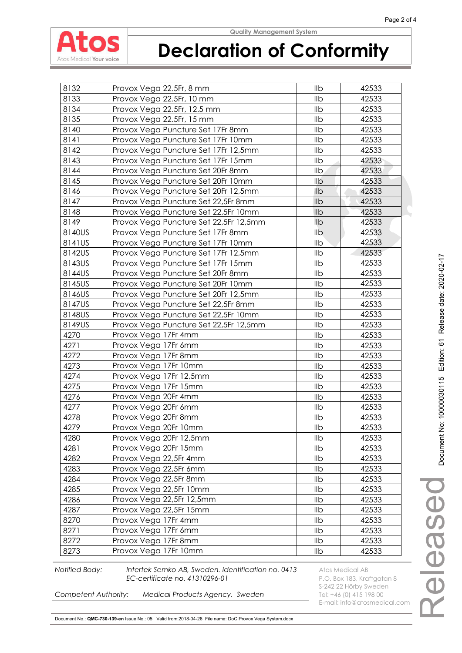

# **Declaration of Conformity**

| 8132   | Provox Vega 22.5Fr, 8 mm               | Ilb            | 42533 |
|--------|----------------------------------------|----------------|-------|
| 8133   | Provox Vega 22.5Fr, 10 mm              | IIb            | 42533 |
| 8134   | Provox Vega 22.5Fr, 12.5 mm            | Ilb            | 42533 |
| 8135   | Provox Vega 22.5Fr, 15 mm              | Ilb            | 42533 |
| 8140   | Provox Vega Puncture Set 17Fr 8mm      | Ilb            | 42533 |
| 8141   | Provox Vega Puncture Set 17Fr 10mm     | Ilb            | 42533 |
| 8142   | Provox Vega Puncture Set 17Fr 12,5mm   | Ilb            | 42533 |
| 8143   | Provox Vega Puncture Set 17Fr 15mm     | Ilb            | 42533 |
| 8144   | Provox Vega Puncture Set 20Fr 8mm      | I <sub>1</sub> | 42533 |
| 8145   | Provox Vega Puncture Set 20Fr 10mm     | Ilb            | 42533 |
| 8146   | Provox Vega Puncture Set 20Fr 12,5mm   | Ilb            | 42533 |
| 8147   | Provox Vega Puncture Set 22,5Fr 8mm    | Ilb            | 42533 |
| 8148   | Provox Vega Puncture Set 22,5Fr 10mm   | Ilb            | 42533 |
| 8149   | Provox Vega Puncture Set 22,5Fr 12,5mm | Ilb            | 42533 |
| 8140US | Provox Vega Puncture Set 17Fr 8mm      | Ilb            | 42533 |
| 8141US | Provox Vega Puncture Set 17Fr 10mm     | Ilb            | 42533 |
| 8142US | Provox Vega Puncture Set 17Fr 12,5mm   | IIb            | 42533 |
| 8143US | Provox Vega Puncture Set 17Fr 15mm     | Ilb            | 42533 |
| 8144US | Provox Vega Puncture Set 20Fr 8mm      | IIb            | 42533 |
| 8145US | Provox Vega Puncture Set 20Fr 10mm     | IIb            | 42533 |
| 8146US | Provox Vega Puncture Set 20Fr 12,5mm   | IIb            | 42533 |
| 8147US | Provox Vega Puncture Set 22,5Fr 8mm    | Ilb            | 42533 |
| 8148US | Provox Vega Puncture Set 22,5Fr 10mm   | Ilb            | 42533 |
| 8149US | Provox Vega Puncture Set 22,5Fr 12,5mm | Ilb            | 42533 |
| 4270   | Provox Vega 17Fr 4mm                   | Ilb            | 42533 |
| 4271   | Provox Vega 17Fr 6mm                   | IIb            | 42533 |
| 4272   | Provox Vega 17Fr 8mm                   | Ilb            | 42533 |
| 4273   | Provox Vega 17Fr 10mm                  | Ilb            | 42533 |
| 4274   | Provox Vega 17Fr 12,5mm                | IIb            | 42533 |
| 4275   | Provox Vega 17Fr 15mm                  | Ilb            | 42533 |
| 4276   | Provox Vega 20Fr 4mm                   | Ilb            | 42533 |
| 4277   | Provox Vega 20Fr 6mm                   | Ilb            | 42533 |
| 4278   | Provox Vega 20Fr 8mm                   | Ilb            | 42533 |
| 4279   | Provox Vega 20Fr 10mm                  | llb            | 42533 |
| 4280   | Provox Vega 20Fr 12,5mm                | IIb            | 42533 |
| 4281   | Provox Vega 20Fr 15mm                  | IIb            | 42533 |
| 4282   | Provox Vega 22,5Fr 4mm                 | Ilb            | 42533 |
| 4283   | Provox Vega 22,5Fr 6mm                 | IIb            | 42533 |
| 4284   | Provox Vega 22,5Fr 8mm                 | Ilb            | 42533 |
| 4285   | Provox Vega 22,5Fr 10mm                | IIb            | 42533 |
| 4286   | Provox Vega 22,5Fr 12,5mm              | IIb            | 42533 |
| 4287   | Provox Vega 22,5Fr 15mm                | IIb            | 42533 |
| 8270   | Provox Vega 17Fr 4mm                   | Ilb            | 42533 |
| 8271   | Provox Vega 17Fr 6mm                   | IIb            | 42533 |
| 8272   | Provox Vega 17Fr 8mm                   | IIb            | 42533 |
| 8273   | Provox Vega 17Fr 10mm                  | llb            | 42533 |

**Notified Body:** Intertek Semko AB, Sweden. Identification no. 0413 Atos Medical AB **EC-certificate no. 41310296-01** P.O. Box 183, Kraftgatan 8

E-mail: info@atosmedical.com

S-242 22 Hörby Sweden<br>**Competent Authority: Medical Products Agency, Sweden** Tel: +46 (0) 415 198 00 *Medical Products Agency, Sweden* 

Document No.: **QMC-730-139-en** Issue No.: 05 Valid from:2018-04-26 File name: DoC Provox Vega System.docx

Released

eleased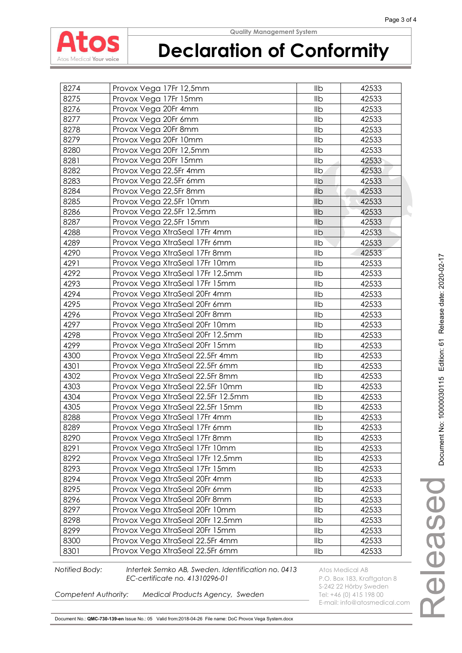

# **Declaration of Conformity**

| 8274 | Provox Vega 17Fr 12,5mm            | llb            | 42533 |
|------|------------------------------------|----------------|-------|
| 8275 | Provox Vega 17Fr 15mm              | Ilb            | 42533 |
| 8276 | Provox Vega 20Fr 4mm               | Ilb            | 42533 |
| 8277 | Provox Vega 20Fr 6mm               | Ilb            | 42533 |
| 8278 | Provox Vega 20Fr 8mm               | Ilb            | 42533 |
| 8279 | Provox Vega 20Fr 10mm              | Ilb            | 42533 |
| 8280 | Provox Vega 20Fr 12,5mm            | Ilb            | 42533 |
| 8281 | Provox Vega 20Fr 15mm              | Ilb            | 42533 |
| 8282 | Provox Vega 22,5Fr 4mm             | I <sub>1</sub> | 42533 |
| 8283 | Provox Vega 22,5Fr 6mm             | Ilb            | 42533 |
| 8284 | Provox Vega 22,5Fr 8mm             | Ilb            | 42533 |
| 8285 | Provox Vega 22,5Fr 10mm            | Ilb            | 42533 |
| 8286 | Provox Vega 22,5Fr 12,5mm          | Ilb            | 42533 |
| 8287 | Provox Vega 22,5Fr 15mm            | Ilb            | 42533 |
| 4288 | Provox Vega XtraSeal 17Fr 4mm      | Ilb            | 42533 |
| 4289 | Provox Vega XtraSeal 17Fr 6mm      | Ilb            | 42533 |
| 4290 | Provox Vega XtraSeal 17Fr 8mm      | IIb            | 42533 |
| 4291 | Provox Vega XtraSeal 17Fr 10mm     | Ilb            | 42533 |
| 4292 | Provox Vega XtraSeal 17Fr 12.5mm   | Ilb            | 42533 |
| 4293 | Provox Vega XtraSeal 17Fr 15mm     | IIb            | 42533 |
| 4294 | Provox Vega XtraSeal 20Fr 4mm      | Ilb            | 42533 |
| 4295 | Provox Vega XtraSeal 20Fr 6mm      | Ilb            | 42533 |
| 4296 | Provox Vega XtraSeal 20Fr 8mm      | Ilb            | 42533 |
| 4297 | Provox Vega XtraSeal 20Fr 10mm     | Ilb            | 42533 |
| 4298 | Provox Vega XtraSeal 20Fr 12.5mm   | Ilb            | 42533 |
| 4299 | Provox Vega XtraSeal 20Fr 15mm     | IIb            | 42533 |
| 4300 | Provox Vega XtraSeal 22.5Fr 4mm    | Ilb            | 42533 |
| 4301 | Provox Vega XtraSeal 22.5Fr 6mm    | Ilb            | 42533 |
| 4302 | Provox Vega XtraSeal 22.5Fr 8mm    | IIb            | 42533 |
| 4303 | Provox Vega XtraSeal 22.5Fr 10mm   | Ilb            | 42533 |
| 4304 | Provox Vega XtraSeal 22.5Fr 12.5mm | Ilb            | 42533 |
| 4305 | Provox Vega XtraSeal 22.5Fr 15mm   | Ilb            | 42533 |
| 8288 | Provox Vega XtraSeal 17Fr 4mm      | Ilb            | 42533 |
| 8289 | Provox Vega XtraSeal 17Fr 6mm      | llb            | 42533 |
| 8290 | Provox Vega XtraSeal 17Fr 8mm      | IIb            | 42533 |
| 8291 | Provox Vega XtraSeal 17Fr 10mm     | Ilb            | 42533 |
| 8292 | Provox Vega XtraSeal 17Fr 12.5mm   | Ilb            | 42533 |
| 8293 | Provox Vega XtraSeal 17Fr 15mm     | IIb            | 42533 |
| 8294 | Provox Vega XtraSeal 20Fr 4mm      | Ilb            | 42533 |
| 8295 | Provox Vega XtraSeal 20Fr 6mm      | llb            | 42533 |
| 8296 | Provox Vega XtraSeal 20Fr 8mm      | IIb            | 42533 |
| 8297 | Provox Vega XtraSeal 20Fr 10mm     | IIb            | 42533 |
| 8298 | Provox Vega XtraSeal 20Fr 12.5mm   | Ilb            | 42533 |
| 8299 | Provox Vega XtraSeal 20Fr 15mm     | llb            | 42533 |
| 8300 | Provox Vega XtraSeal 22.5Fr 4mm    | Ilb            | 42533 |
| 8301 | Provox Vega XtraSeal 22.5Fr 6mm    | IIb            | 42533 |

**Notified Body:** Intertek Semko AB, Sweden. Identification no. 0413 Atos Medical AB **EC-certificate no. 41310296-01** P.O. Box 183, Kraftgatan 8

E-mail: info@atosmedical.com

S-242 22 Hörby Sweden<br>**Competent Authority: Medical Products Agency, Sweden** Tel: +46 (0) 415 198 00 *Medical Products Agency, Sweden*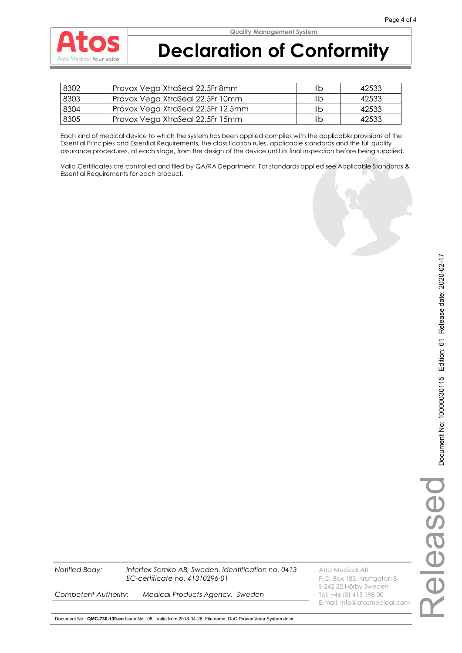

| 8302 | Provox Vega XtraSeal 22.5Fr 8mm    | llb | 42533 |
|------|------------------------------------|-----|-------|
| 8303 | Provox Vega XtraSeal 22.5Fr 10mm   | llb | 42533 |
| 8304 | Provox Vega XtraSeal 22.5Fr 12.5mm | llb | 42533 |
| 8305 | Provox Vega XtraSeal 22.5Fr 15mm   | IIb | 42533 |

Each kind of medical device to which the system has been applied complies with the applicable provisions of the Essential Principles and Essential Requirements, the classification rules, applicable standards and the full quality assurance procedures, at each stage, from the design of the device until its final inspection before being supplied.

Valid Certificates are controlled and filed by QA/RA Department. For standards applied see Applicable Standards & Essential Requirements for each product.

eleased Released

S-242 22 Hörby Sweden

E-mail: info@atosmedical.com

**Competent Authority: Medical Products Agency, Sweden** Tel: +46 (0) 415 198 00

Document No.: **QMC-730-139-en** Issue No.: 05 Valid from:2018-04-26 File name: DoC Provox Vega System.docx

**Notified Body:** Intertek Semko AB, Sweden. Identification no. 0413 Atos Medical AB

*EC-certificate no. 41310296-01* P.O. Box 183, Kraftgatan 8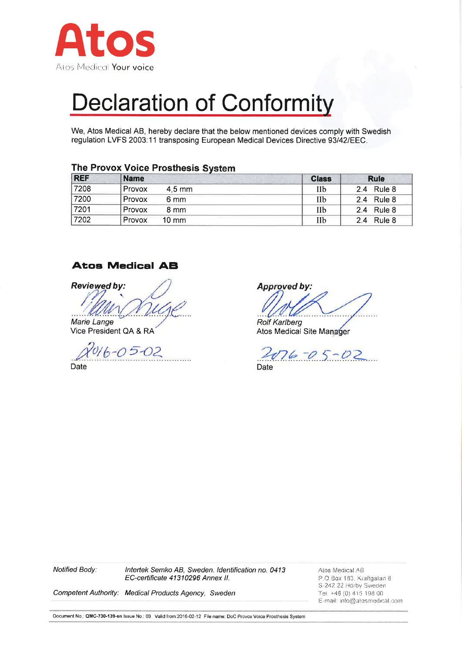

We, Atos Medical AB, hereby declare that the below mentioned devices comply with Swedish regulation LVFS 2003:11 transposing European Medical Devices Directive 93/42/EEC.

| <b>REF</b> | <b>Name</b>               | <b>Class</b> | <b>Rule</b>   |
|------------|---------------------------|--------------|---------------|
| 7208       | Provox<br>$4.5$ mm        | IIb          | 2.4 Rule 8    |
| 7200       | Provox<br>6 mm            | IIb          | 2.4 Rule 8    |
| 7201       | Provox<br>8 mm            | IIb          | 2.4 Rule 8    |
| 7202       | Provox<br>$10 \text{ mm}$ | Пb           | Rule 8<br>2.4 |

#### The Provox Voice Prosthesis System

#### **Atos Medical AB**

**Reviewed by:** 

Marie Lange Vice President QA & RA

 $05 - 02$ **Date** 

**Approved by:** 

**Rolf Karlberg** Atos Medical Site Manager

 $076 - 05 - 02$ Date

Intertek Semko AB, Sweden. Identification no. 0413 Notified Body: EC-certificate 41310296 Annex II.

Atos Medical AB P.O.Box 183, Kraftgatan 8 S-242 22 Hörby Sweden Tel: +46 (0) 415 198 00 E-mail: info@atosmedical.com

Competent Authority: Medical Products Agency, Sweden

Document No.; QMC-730-139-en Issue No.; 03 Valid from: 2016-02-12 File name: DoC Provox Voice Prosthesis System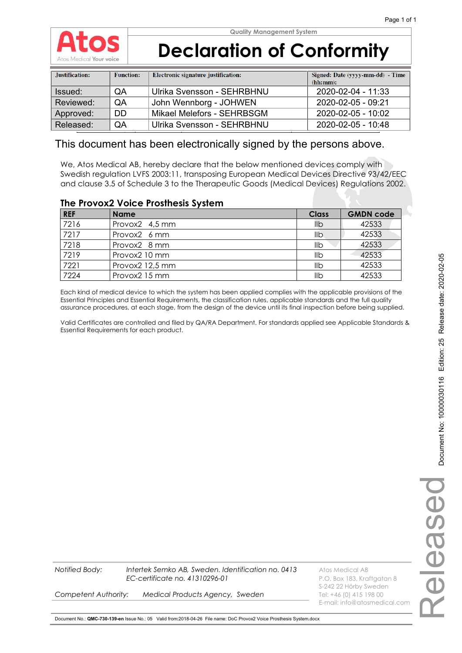

# **Declaration of Conformity**

| Justification: | <b>Function:</b> | Electronic signature justification: | Signed: Date (yyyy-mm-dd) - Time<br>(hh:mm): |
|----------------|------------------|-------------------------------------|----------------------------------------------|
| Issued:        | <b>OA</b>        | Ulrika Svensson - SEHRBHNU          | 2020-02-04 - 11:33                           |
| Reviewed:      | <b>OA</b>        | John Wennborg - JOHWEN              | 2020-02-05 - 09:21                           |
| Approved:      | <b>DD</b>        | Mikael Melefors - SEHRBSGM          | 2020-02-05 - 10:02                           |
| Released:      | QA               | Ulrika Svensson - SEHRBHNU          | 2020-02-05 - 10:48                           |

### This document has been electronically signed by the persons above.

We, Atos Medical AB, hereby declare that the below mentioned devices comply with Swedish regulation LVFS 2003:11, transposing European Medical Devices Directive 93/42/EEC and clause 3.5 of Schedule 3 to the Therapeutic Goods (Medical Devices) Regulations 2002.

#### **The Provox2 Voice Prosthesis System**

| <b>REF</b> | <b>Name</b>     | <b>Class</b> | <b>GMDN code</b> |
|------------|-----------------|--------------|------------------|
| 7216       | Provox2 4,5 mm  | llb          | 42533            |
| 7217       | Provox2 6 mm    | llb          | 42533            |
| 7218       | Provox2 8 mm    | llb          | 42533            |
| 7219       | Provox2 10 mm   | llb          | 42533            |
| 7221       | Provox2 12,5 mm | llb          | 42533            |
| 7224       | Provox2 15 mm   | llb          | 42533            |

Each kind of medical device to which the system has been applied complies with the applicable provisions of the Essential Principles and Essential Requirements, the classification rules, applicable standards and the full quality assurance procedures, at each stage, from the design of the device until its final inspection before being supplied.

Valid Certificates are controlled and filed by QA/RA Department. For standards applied see Applicable Standards & Essential Requirements for each product.

**Notified Body: Intertek Semko AB, Sweden. Identification no. 0413** Atos Medical AB *EC-certificate no. 41310296-01* P.O. Box 183, Kraftgatan 8

S-242 22 Hörby Sweden E-mail: info@atosmedical.com

**Competent Authority: Medical Products Agency, Sweden** Tel: +46 (0) 415 198 00

Document No.: **QMC-730-139-en** Issue No.: 05 Valid from:2018-04-26 File name: DoC Provox2 Voice Prosthesis System.docx

Released

Deseal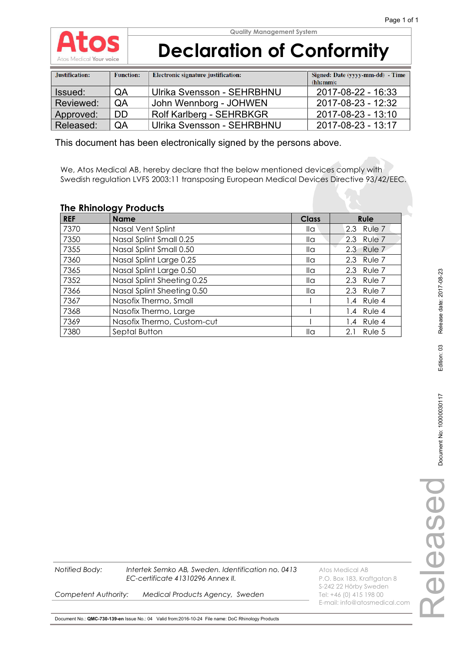

# **Declaration of Conformity**

| Justification: | <b>Function:</b> | Electronic signature justification: | Signed: Date (yyyy-mm-dd) - Time |
|----------------|------------------|-------------------------------------|----------------------------------|
|                |                  |                                     | (hh:mm):                         |
| Issued:        | QA               | Ulrika Svensson - SEHRBHNU          | 2017-08-22 - 16:33               |
| Reviewed:      | QA               | John Wennborg - JOHWEN              | 2017-08-23 - 12:32               |
| Approved:      | <b>DD</b>        | Rolf Karlberg - SEHRBKGR            | 2017-08-23 - 13:10               |
| Released:      | QA               | Ulrika Svensson - SEHRBHNU          | 2017-08-23 - 13:17               |

This document has been electronically signed by the persons above.

We, Atos Medical AB, hereby declare that the below mentioned devices comply with Swedish regulation LVFS 2003:11 transposing European Medical Devices Directive 93/42/EEC.

#### **The Rhinology Products**

| <b>REF</b> | <b>Name</b>                | <b>Class</b>    | <b>Rule</b>   |
|------------|----------------------------|-----------------|---------------|
| 7370       | Nasal Vent Splint          | lla             | Rule 7<br>2.3 |
| 7350       | Nasal Splint Small 0.25    | lla             | Rule 7<br>2.3 |
| 7355       | Nasal Splint Small 0.50    | lla             | 2.3 Rule 7    |
| 7360       | Nasal Splint Large 0.25    | $\mathsf{II}$ a | 2.3 Rule 7    |
| 7365       | Nasal Splint Large 0.50    | $\mathsf{II}$ a | 2.3 Rule 7    |
| 7352       | Nasal Splint Sheeting 0.25 | $\mathsf{II}$ a | 2.3 Rule 7    |
| 7366       | Nasal Splint Sheeting 0.50 | $\mathsf{II}$ a | 2.3 Rule 7    |
| 7367       | Nasofix Thermo, Small      |                 | 1.4 Rule 4    |
| 7368       | Nasofix Thermo, Large      |                 | 1.4 Rule 4    |
| 7369       | Nasofix Thermo, Custom-cut |                 | 1.4 Rule 4    |
| 7380       | Septal Button              | lla             | Rule 5<br>2.1 |

**Notified Body:** Intertek Semko AB, Sweden. Identification no. 0413 Atos Medical AB *EC-certificate 41310296 Annex II.* P.O. Box 183, Kraftgatan 8

**Competent Authority: Medical Products Agency, Sweden** Tel: +46 (0) 415 198 00

S-242 22 Hörby Sweden E-mail: info@atosmedical.com

Document No.: **QMC-730-139-en** Issue No.: 04 Valid from:2016-10-24 File name: DoC Rhinology Products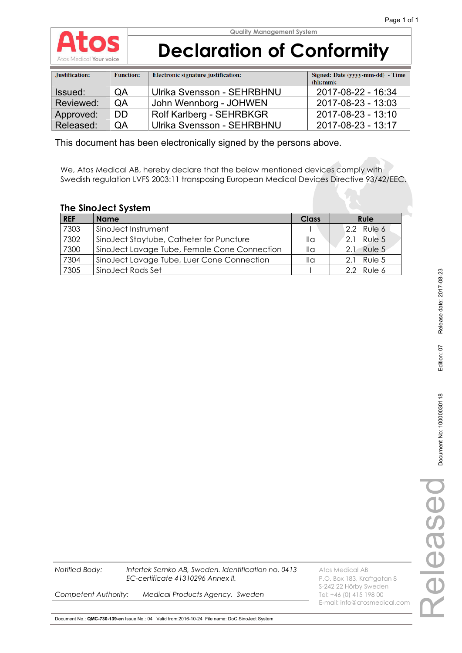

# **Declaration of Conformity**

| Justification: | <b>Function:</b> | Electronic signature justification: | Signed: Date (yyyy-mm-dd) - Time<br>(hh:mm): |
|----------------|------------------|-------------------------------------|----------------------------------------------|
| Issued:        | QA               | Ulrika Svensson - SEHRBHNU          | 2017-08-22 - 16:34                           |
| Reviewed:      | QA               | John Wennborg - JOHWEN              | 2017-08-23 - 13:03                           |
| Approved:      | <b>DD</b>        | Rolf Karlberg - SEHRBKGR            | 2017-08-23 - 13:10                           |
| Released:      | QA               | Ulrika Svensson - SEHRBHNU          | 2017-08-23 - 13:17                           |

This document has been electronically signed by the persons above.

We, Atos Medical AB, hereby declare that the below mentioned devices comply with Swedish regulation LVFS 2003:11 transposing European Medical Devices Directive 93/42/EEC.

#### **The SinoJect System**

| <b>REF</b> | <b>Name</b>                                  | Class | <b>Rule</b> |
|------------|----------------------------------------------|-------|-------------|
| 7303       | SinoJect Instrument                          |       | 2.2 Rule 6  |
| 7302       | SinoJect Staytube, Catheter for Puncture     | lla   | 2.1 Rule 5  |
| 7300       | SinoJect Lavage Tube, Female Cone Connection | lla   | 2.1 Rule 5  |
| 7304       | SinoJect Lavage Tube, Luer Cone Connection   | lla   | 2.1 Rule 5  |
| 7305       | SinoJect Rods Set                            |       | 2.2 Rule 6  |

| EC-certificat |
|---------------|
|               |

**Notified Body:** Intertek Semko AB, Sweden. Identification no. 0413 Atos Medical AB **ate 41310296 Annex II. Exercificate 18411210296 Annex II. P.O. Box 183, Kraftgatan 8** 

**Competent Authority: Medical Products Agency, Sweden** Tel: +46 (0) 415 198 00

S-242 22 Hörby Sweden E-mail: info@atosmedical.com

Document No.: **QMC-730-139-en** Issue No.: 04 Valid from:2016-10-24 File name: DoC SinoJect System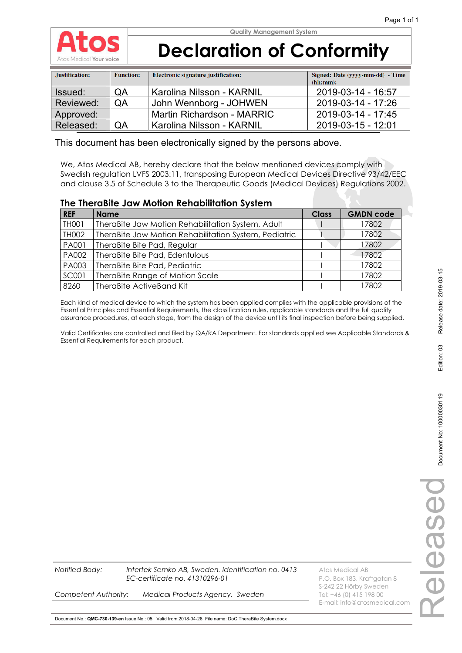

# **Declaration of Conformity**

| Justification: | <b>Function:</b> | Electronic signature justification: | Signed: Date (yyyy-mm-dd) - Time<br>(hh:mm): |
|----------------|------------------|-------------------------------------|----------------------------------------------|
| Issued:        | QA               | Karolina Nilsson - KARNIL           | 2019-03-14 - 16:57                           |
| Reviewed:      | QA               | John Wennborg - JOHWEN              | 2019-03-14 - 17:26                           |
| Approved:      |                  | Martin Richardson - MARRIC          | 2019-03-14 - 17:45                           |
| Released:      | QA               | Karolina Nilsson - KARNIL           | 2019-03-15 - 12:01                           |

This document has been electronically signed by the persons above.

We, Atos Medical AB, hereby declare that the below mentioned devices comply with Swedish regulation LVFS 2003:11, transposing European Medical Devices Directive 93/42/EEC and clause 3.5 of Schedule 3 to the Therapeutic Goods (Medical Devices) Regulations 2002.

#### **The TheraBite Jaw Motion Rehabilitation System**

| <b>REF</b>   | <b>Name</b>                                           | <b>Class</b> | <b>GMDN code</b> |
|--------------|-------------------------------------------------------|--------------|------------------|
| TH001        | TheraBite Jaw Motion Rehabilitation System, Adult     |              | 17802            |
| TH002        | TheraBite Jaw Motion Rehabilitation System, Pediatric |              | 17802            |
| PA001        | TheraBite Bite Pad, Regular                           |              | 17802            |
| PA002        | TheraBite Bite Pad, Edentulous                        |              | 17802            |
| PA003        | TheraBite Bite Pad, Pediatric                         |              | 17802            |
| <b>SC001</b> | TheraBite Range of Motion Scale                       |              | 17802            |
| 8260         | TheraBite ActiveBand Kit                              |              | 17802            |

Each kind of medical device to which the system has been applied complies with the applicable provisions of the Essential Principles and Essential Requirements, the classification rules, applicable standards and the full quality assurance procedures, at each stage, from the design of the device until its final inspection before being supplied.

Valid Certificates are controlled and filed by QA/RA Department. For standards applied see Applicable Standards & Essential Requirements for each product.

**Intertek Semko AB, Sweden. Identification no. 0413** Atos Medical AB *EC-certificate no. 41310296-01* P.O. Box 183, Kraftgatan 8

S-242 22 Hörby Sweden E-mail: info@atosmedical.com

**Competent Authority: Medical Products Agency, Sweden** Tel: +46 (0) 415 198 00

Document No.: **QMC-730-139-en** Issue No.: 05 Valid from:2018-04-26 File name: DoC TheraBite System.docx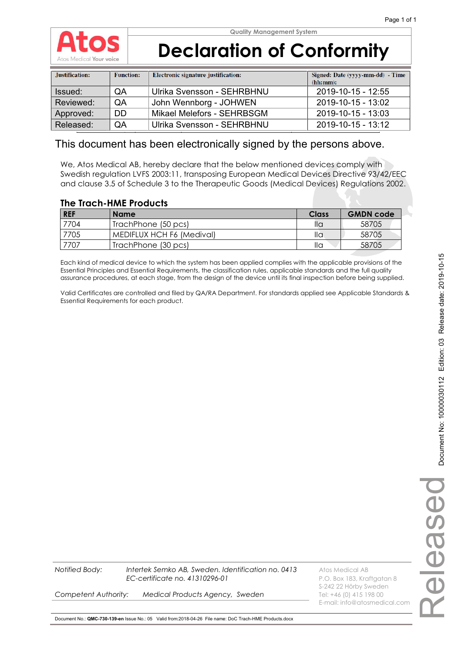

# **Declaration of Conformity**

| Justification: | <b>Function:</b> | Electronic signature justification: | Signed: Date (yyyy-mm-dd) - Time<br>(hh:mm): |
|----------------|------------------|-------------------------------------|----------------------------------------------|
| Issued:        | QA               | Ulrika Svensson - SEHRBHNU          | 2019-10-15 - 12:55                           |
| Reviewed:      | <b>OA</b>        | John Wennborg - JOHWEN              | 2019-10-15 - 13:02                           |
| Approved:      | DD.              | Mikael Melefors - SEHRBSGM          | 2019-10-15 - 13:03                           |
| Released:      | QA               | Ulrika Svensson - SEHRBHNU          | 2019-10-15 - 13:12                           |

### This document has been electronically signed by the persons above.

We, Atos Medical AB, hereby declare that the below mentioned devices comply with Swedish regulation LVFS 2003:11, transposing European Medical Devices Directive 93/42/EEC and clause 3.5 of Schedule 3 to the Therapeutic Goods (Medical Devices) Regulations 2002.

### **The Trach-HME Products**

| <b>REF</b> | <b>Name</b>               | Class | <b>GMDN</b> code |
|------------|---------------------------|-------|------------------|
| 7704       | TrachPhone (50 pcs)       | lla   | 58705            |
| 7705       | MEDIFLUX HCH F6 (Medival) | lla   | 58705            |
| 7707       | TrachPhone (30 pcs)       | lla   | 58705            |

Each kind of medical device to which the system has been applied complies with the applicable provisions of the Essential Principles and Essential Requirements, the classification rules, applicable standards and the full quality assurance procedures, at each stage, from the design of the device until its final inspection before being supplied.

Valid Certificates are controlled and filed by QA/RA Department. For standards applied see Applicable Standards & Essential Requirements for each product.

**Notified Body: Intertek Semko AB, Sweden. Identification no. 0413** Atos Medical AB *EC-certificate no. 41310296-01* P.O. Box 183, Kraftgatan 8

S-242 22 Hörby Sweden E-mail: info@atosmedical.com

**Competent Authority: Medical Products Agency, Sweden** Tel: +46 (0) 415 198 00

Document No.: **QMC-730-139-en** Issue No.: 05 Valid from:2018-04-26 File name: DoC Trach-HME Products.docx